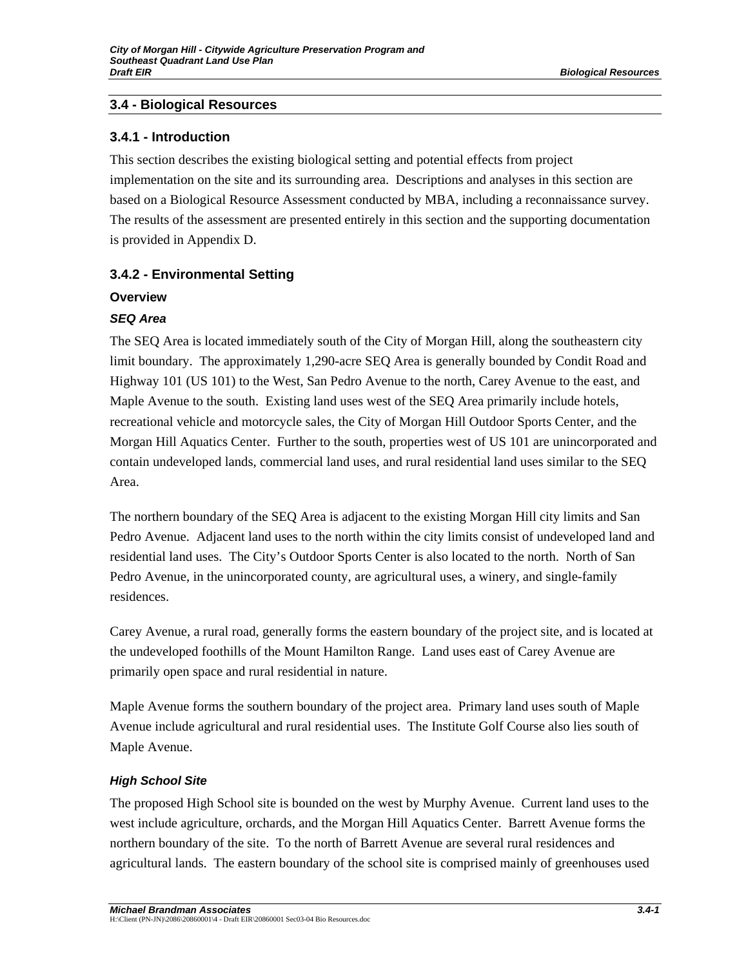## **3.4 - Biological Resources**

## **3.4.1 - Introduction**

This section describes the existing biological setting and potential effects from project implementation on the site and its surrounding area. Descriptions and analyses in this section are based on a Biological Resource Assessment conducted by MBA, including a reconnaissance survey. The results of the assessment are presented entirely in this section and the supporting documentation is provided in Appendix D.

## **3.4.2 - Environmental Setting**

### **Overview**

## *SEQ Area*

The SEQ Area is located immediately south of the City of Morgan Hill, along the southeastern city limit boundary. The approximately 1,290-acre SEQ Area is generally bounded by Condit Road and Highway 101 (US 101) to the West, San Pedro Avenue to the north, Carey Avenue to the east, and Maple Avenue to the south. Existing land uses west of the SEQ Area primarily include hotels, recreational vehicle and motorcycle sales, the City of Morgan Hill Outdoor Sports Center, and the Morgan Hill Aquatics Center. Further to the south, properties west of US 101 are unincorporated and contain undeveloped lands, commercial land uses, and rural residential land uses similar to the SEQ Area.

The northern boundary of the SEQ Area is adjacent to the existing Morgan Hill city limits and San Pedro Avenue. Adjacent land uses to the north within the city limits consist of undeveloped land and residential land uses. The City's Outdoor Sports Center is also located to the north. North of San Pedro Avenue, in the unincorporated county, are agricultural uses, a winery, and single-family residences.

Carey Avenue, a rural road, generally forms the eastern boundary of the project site, and is located at the undeveloped foothills of the Mount Hamilton Range. Land uses east of Carey Avenue are primarily open space and rural residential in nature.

Maple Avenue forms the southern boundary of the project area. Primary land uses south of Maple Avenue include agricultural and rural residential uses. The Institute Golf Course also lies south of Maple Avenue.

## *High School Site*

The proposed High School site is bounded on the west by Murphy Avenue. Current land uses to the west include agriculture, orchards, and the Morgan Hill Aquatics Center. Barrett Avenue forms the northern boundary of the site. To the north of Barrett Avenue are several rural residences and agricultural lands. The eastern boundary of the school site is comprised mainly of greenhouses used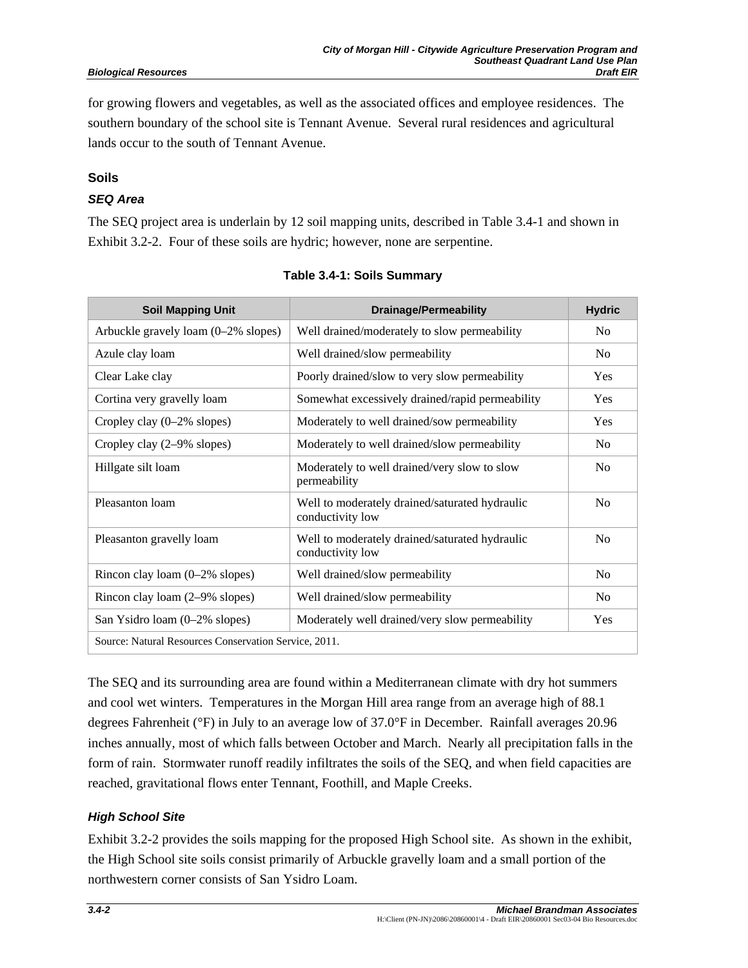for growing flowers and vegetables, as well as the associated offices and employee residences. The southern boundary of the school site is Tennant Avenue. Several rural residences and agricultural lands occur to the south of Tennant Avenue.

## **Soils**

## *SEQ Area*

The SEQ project area is underlain by 12 soil mapping units, described in Table 3.4-1 and shown in Exhibit 3.2-2. Four of these soils are hydric; however, none are serpentine.

| <b>Soil Mapping Unit</b>                              | <b>Drainage/Permeability</b>                                       | <b>Hydric</b>  |
|-------------------------------------------------------|--------------------------------------------------------------------|----------------|
| Arbuckle gravely loam (0–2% slopes)                   | Well drained/moderately to slow permeability                       | N <sub>0</sub> |
| Azule clay loam                                       | Well drained/slow permeability                                     | N <sub>0</sub> |
| Clear Lake clay                                       | Poorly drained/slow to very slow permeability                      | Yes            |
| Cortina very gravelly loam                            | Somewhat excessively drained/rapid permeability                    | Yes            |
| Cropley clay (0–2% slopes)                            | Moderately to well drained/sow permeability                        | Yes            |
| Cropley clay $(2-9\% \text{ slopes})$                 | Moderately to well drained/slow permeability                       | N <sub>0</sub> |
| Hillgate silt loam                                    | Moderately to well drained/very slow to slow<br>permeability       | N <sub>0</sub> |
| Pleasanton loam                                       | Well to moderately drained/saturated hydraulic<br>conductivity low | N <sub>0</sub> |
| Pleasanton gravelly loam                              | Well to moderately drained/saturated hydraulic<br>conductivity low | N <sub>0</sub> |
| Rincon clay loam $(0-2\%$ slopes)                     | Well drained/slow permeability                                     | N <sub>0</sub> |
| Rincon clay loam (2–9% slopes)                        | Well drained/slow permeability                                     | N <sub>0</sub> |
| San Ysidro loam (0-2% slopes)                         | Moderately well drained/very slow permeability                     | Yes            |
| Source: Natural Resources Conservation Service, 2011. |                                                                    |                |

The SEQ and its surrounding area are found within a Mediterranean climate with dry hot summers and cool wet winters. Temperatures in the Morgan Hill area range from an average high of 88.1 degrees Fahrenheit (°F) in July to an average low of 37.0°F in December. Rainfall averages 20.96 inches annually, most of which falls between October and March. Nearly all precipitation falls in the form of rain. Stormwater runoff readily infiltrates the soils of the SEQ, and when field capacities are reached, gravitational flows enter Tennant, Foothill, and Maple Creeks.

## *High School Site*

Exhibit 3.2-2 provides the soils mapping for the proposed High School site. As shown in the exhibit, the High School site soils consist primarily of Arbuckle gravelly loam and a small portion of the northwestern corner consists of San Ysidro Loam.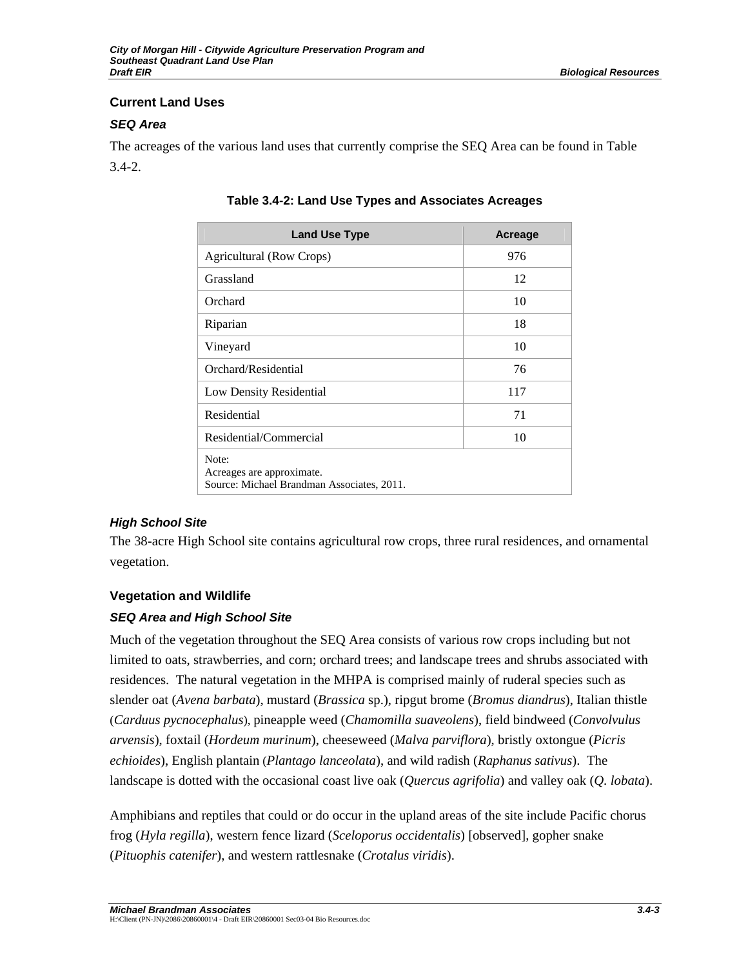## **Current Land Uses**

## *SEQ Area*

The acreages of the various land uses that currently comprise the SEQ Area can be found in Table 3.4-2.

| <b>Land Use Type</b>                                                             | Acreage |
|----------------------------------------------------------------------------------|---------|
| Agricultural (Row Crops)                                                         | 976     |
| Grassland                                                                        | 12      |
| Orchard                                                                          | 10      |
| Riparian                                                                         | 18      |
| Vineyard                                                                         | 10      |
| Orchard/Residential                                                              | 76      |
| Low Density Residential                                                          | 117     |
| Residential                                                                      | 71      |
| Residential/Commercial                                                           | 10      |
| Note:<br>Acreages are approximate.<br>Source: Michael Brandman Associates, 2011. |         |

**Table 3.4-2: Land Use Types and Associates Acreages** 

## *High School Site*

The 38-acre High School site contains agricultural row crops, three rural residences, and ornamental vegetation.

## **Vegetation and Wildlife**

## *SEQ Area and High School Site*

Much of the vegetation throughout the SEQ Area consists of various row crops including but not limited to oats, strawberries, and corn; orchard trees; and landscape trees and shrubs associated with residences. The natural vegetation in the MHPA is comprised mainly of ruderal species such as slender oat (*Avena barbata*), mustard (*Brassica* sp.), ripgut brome (*Bromus diandrus*), Italian thistle (*Carduus pycnocephalus*), pineapple weed (*Chamomilla suaveolens*), field bindweed (*Convolvulus arvensis*), foxtail (*Hordeum murinum*), cheeseweed (*Malva parviflora*), bristly oxtongue (*Picris echioides*), English plantain (*Plantago lanceolata*), and wild radish (*Raphanus sativus*). The landscape is dotted with the occasional coast live oak (*Quercus agrifolia*) and valley oak (*Q. lobata*).

Amphibians and reptiles that could or do occur in the upland areas of the site include Pacific chorus frog (*Hyla regilla*), western fence lizard (*Sceloporus occidentalis*) [observed], gopher snake (*Pituophis catenifer*), and western rattlesnake (*Crotalus viridis*).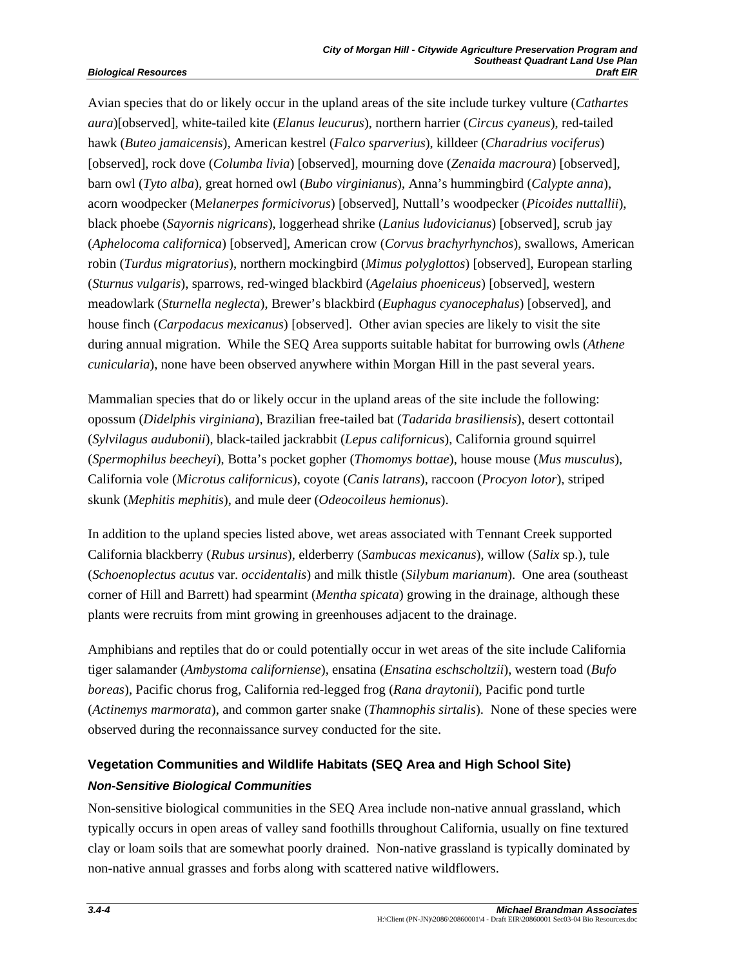Avian species that do or likely occur in the upland areas of the site include turkey vulture (*Cathartes aura*)[observed], white-tailed kite (*Elanus leucurus*), northern harrier (*Circus cyaneus*), red-tailed hawk (*Buteo jamaicensis*), American kestrel (*Falco sparverius*), killdeer (*Charadrius vociferus*) [observed], rock dove (*Columba livia*) [observed], mourning dove (*Zenaida macroura*) [observed], barn owl (*Tyto alba*), great horned owl (*Bubo virginianus*), Anna's hummingbird (*Calypte anna*), acorn woodpecker (M*elanerpes formicivorus*) [observed], Nuttall's woodpecker (*Picoides nuttallii*), black phoebe (*Sayornis nigricans*), loggerhead shrike (*Lanius ludovicianus*) [observed], scrub jay (*Aphelocoma californica*) [observed], American crow (*Corvus brachyrhynchos*), swallows, American robin (*Turdus migratorius*), northern mockingbird (*Mimus polyglottos*) [observed], European starling (*Sturnus vulgaris*), sparrows, red-winged blackbird (*Agelaius phoeniceus*) [observed], western meadowlark (*Sturnella neglecta*), Brewer's blackbird (*Euphagus cyanocephalus*) [observed], and house finch (*Carpodacus mexicanus*) [observed]. Other avian species are likely to visit the site during annual migration. While the SEQ Area supports suitable habitat for burrowing owls (*Athene cunicularia*), none have been observed anywhere within Morgan Hill in the past several years.

Mammalian species that do or likely occur in the upland areas of the site include the following: opossum (*Didelphis virginiana*), Brazilian free-tailed bat (*Tadarida brasiliensis*), desert cottontail (*Sylvilagus audubonii*), black-tailed jackrabbit (*Lepus californicus*), California ground squirrel (*Spermophilus beecheyi*), Botta's pocket gopher (*Thomomys bottae*), house mouse (*Mus musculus*), California vole (*Microtus californicus*), coyote (*Canis latrans*), raccoon (*Procyon lotor*), striped skunk (*Mephitis mephitis*), and mule deer (*Odeocoileus hemionus*).

In addition to the upland species listed above, wet areas associated with Tennant Creek supported California blackberry (*Rubus ursinus*), elderberry (*Sambucas mexicanus*), willow (*Salix* sp.), tule (*Schoenoplectus acutus* var. *occidentalis*) and milk thistle (*Silybum marianum*). One area (southeast corner of Hill and Barrett) had spearmint (*Mentha spicata*) growing in the drainage, although these plants were recruits from mint growing in greenhouses adjacent to the drainage.

Amphibians and reptiles that do or could potentially occur in wet areas of the site include California tiger salamander (*Ambystoma californiense*), ensatina (*Ensatina eschscholtzii*), western toad (*Bufo boreas*), Pacific chorus frog, California red-legged frog (*Rana draytonii*), Pacific pond turtle (*Actinemys marmorata*), and common garter snake (*Thamnophis sirtalis*). None of these species were observed during the reconnaissance survey conducted for the site.

# **Vegetation Communities and Wildlife Habitats (SEQ Area and High School Site)**  *Non-Sensitive Biological Communities*

Non-sensitive biological communities in the SEQ Area include non-native annual grassland, which typically occurs in open areas of valley sand foothills throughout California, usually on fine textured clay or loam soils that are somewhat poorly drained. Non-native grassland is typically dominated by non-native annual grasses and forbs along with scattered native wildflowers.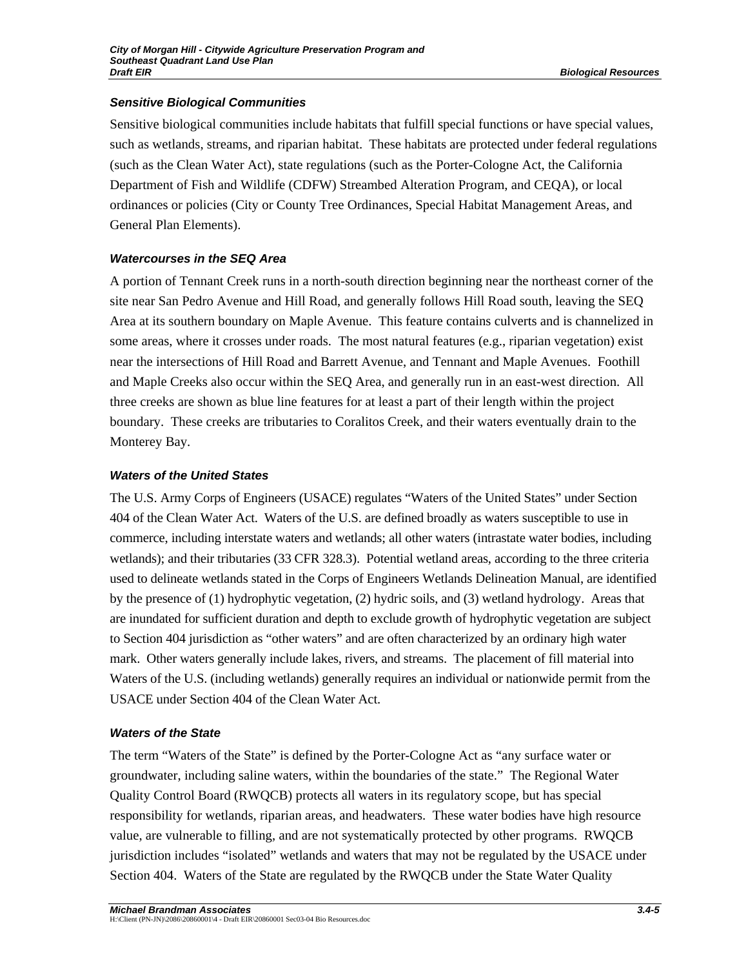## *Sensitive Biological Communities*

Sensitive biological communities include habitats that fulfill special functions or have special values, such as wetlands, streams, and riparian habitat. These habitats are protected under federal regulations (such as the Clean Water Act), state regulations (such as the Porter-Cologne Act, the California Department of Fish and Wildlife (CDFW) Streambed Alteration Program, and CEQA), or local ordinances or policies (City or County Tree Ordinances, Special Habitat Management Areas, and General Plan Elements).

## *Watercourses in the SEQ Area*

A portion of Tennant Creek runs in a north-south direction beginning near the northeast corner of the site near San Pedro Avenue and Hill Road, and generally follows Hill Road south, leaving the SEQ Area at its southern boundary on Maple Avenue. This feature contains culverts and is channelized in some areas, where it crosses under roads. The most natural features (e.g., riparian vegetation) exist near the intersections of Hill Road and Barrett Avenue, and Tennant and Maple Avenues. Foothill and Maple Creeks also occur within the SEQ Area, and generally run in an east-west direction. All three creeks are shown as blue line features for at least a part of their length within the project boundary. These creeks are tributaries to Coralitos Creek, and their waters eventually drain to the Monterey Bay.

## *Waters of the United States*

The U.S. Army Corps of Engineers (USACE) regulates "Waters of the United States" under Section 404 of the Clean Water Act. Waters of the U.S. are defined broadly as waters susceptible to use in commerce, including interstate waters and wetlands; all other waters (intrastate water bodies, including wetlands); and their tributaries (33 CFR 328.3). Potential wetland areas, according to the three criteria used to delineate wetlands stated in the Corps of Engineers Wetlands Delineation Manual, are identified by the presence of (1) hydrophytic vegetation, (2) hydric soils, and (3) wetland hydrology. Areas that are inundated for sufficient duration and depth to exclude growth of hydrophytic vegetation are subject to Section 404 jurisdiction as "other waters" and are often characterized by an ordinary high water mark. Other waters generally include lakes, rivers, and streams. The placement of fill material into Waters of the U.S. (including wetlands) generally requires an individual or nationwide permit from the USACE under Section 404 of the Clean Water Act.

## *Waters of the State*

The term "Waters of the State" is defined by the Porter-Cologne Act as "any surface water or groundwater, including saline waters, within the boundaries of the state." The Regional Water Quality Control Board (RWQCB) protects all waters in its regulatory scope, but has special responsibility for wetlands, riparian areas, and headwaters. These water bodies have high resource value, are vulnerable to filling, and are not systematically protected by other programs. RWQCB jurisdiction includes "isolated" wetlands and waters that may not be regulated by the USACE under Section 404. Waters of the State are regulated by the RWQCB under the State Water Quality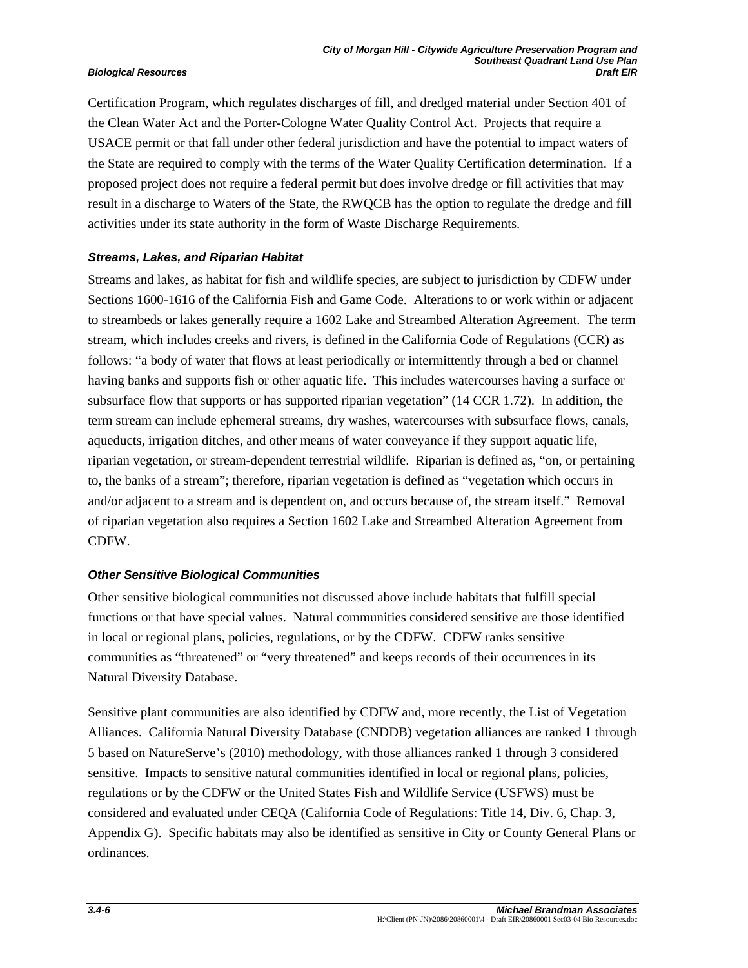Certification Program, which regulates discharges of fill, and dredged material under Section 401 of the Clean Water Act and the Porter-Cologne Water Quality Control Act. Projects that require a USACE permit or that fall under other federal jurisdiction and have the potential to impact waters of the State are required to comply with the terms of the Water Quality Certification determination. If a proposed project does not require a federal permit but does involve dredge or fill activities that may result in a discharge to Waters of the State, the RWQCB has the option to regulate the dredge and fill activities under its state authority in the form of Waste Discharge Requirements.

## *Streams, Lakes, and Riparian Habitat*

Streams and lakes, as habitat for fish and wildlife species, are subject to jurisdiction by CDFW under Sections 1600-1616 of the California Fish and Game Code. Alterations to or work within or adjacent to streambeds or lakes generally require a 1602 Lake and Streambed Alteration Agreement. The term stream, which includes creeks and rivers, is defined in the California Code of Regulations (CCR) as follows: "a body of water that flows at least periodically or intermittently through a bed or channel having banks and supports fish or other aquatic life. This includes watercourses having a surface or subsurface flow that supports or has supported riparian vegetation" (14 CCR 1.72). In addition, the term stream can include ephemeral streams, dry washes, watercourses with subsurface flows, canals, aqueducts, irrigation ditches, and other means of water conveyance if they support aquatic life, riparian vegetation, or stream-dependent terrestrial wildlife. Riparian is defined as, "on, or pertaining to, the banks of a stream"; therefore, riparian vegetation is defined as "vegetation which occurs in and/or adjacent to a stream and is dependent on, and occurs because of, the stream itself." Removal of riparian vegetation also requires a Section 1602 Lake and Streambed Alteration Agreement from CDFW.

## *Other Sensitive Biological Communities*

Other sensitive biological communities not discussed above include habitats that fulfill special functions or that have special values. Natural communities considered sensitive are those identified in local or regional plans, policies, regulations, or by the CDFW. CDFW ranks sensitive communities as "threatened" or "very threatened" and keeps records of their occurrences in its Natural Diversity Database.

Sensitive plant communities are also identified by CDFW and, more recently, the List of Vegetation Alliances. California Natural Diversity Database (CNDDB) vegetation alliances are ranked 1 through 5 based on NatureServe's (2010) methodology, with those alliances ranked 1 through 3 considered sensitive. Impacts to sensitive natural communities identified in local or regional plans, policies, regulations or by the CDFW or the United States Fish and Wildlife Service (USFWS) must be considered and evaluated under CEQA (California Code of Regulations: Title 14, Div. 6, Chap. 3, Appendix G). Specific habitats may also be identified as sensitive in City or County General Plans or ordinances.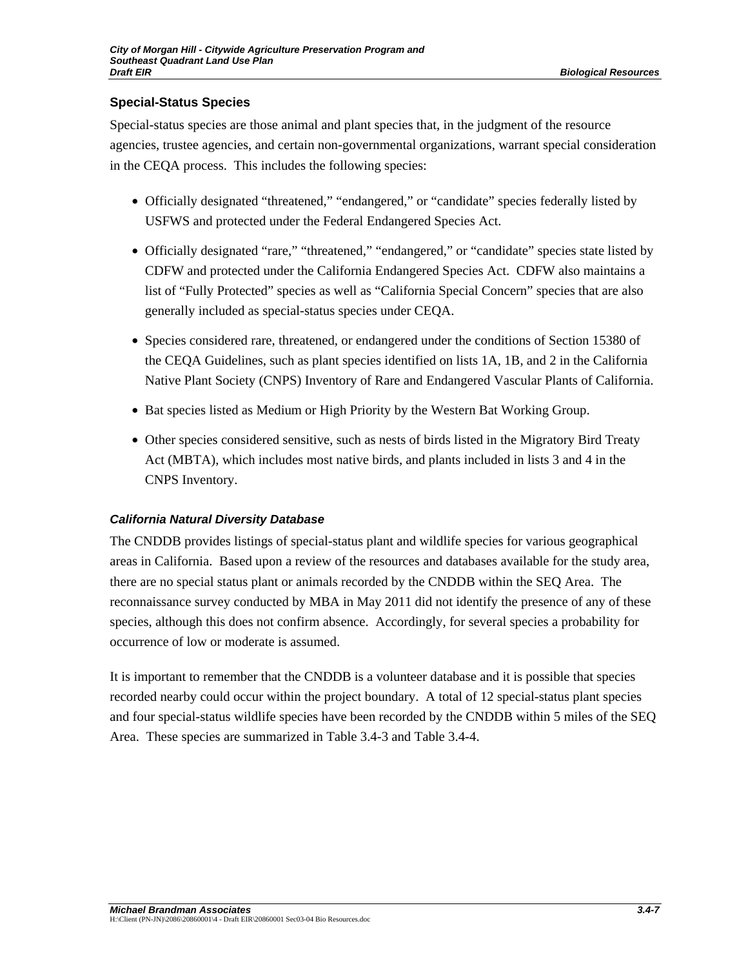## **Special-Status Species**

Special-status species are those animal and plant species that, in the judgment of the resource agencies, trustee agencies, and certain non-governmental organizations, warrant special consideration in the CEQA process. This includes the following species:

- Officially designated "threatened," "endangered," or "candidate" species federally listed by USFWS and protected under the Federal Endangered Species Act.
- Officially designated "rare," "threatened," "endangered," or "candidate" species state listed by CDFW and protected under the California Endangered Species Act. CDFW also maintains a list of "Fully Protected" species as well as "California Special Concern" species that are also generally included as special-status species under CEQA.
- Species considered rare, threatened, or endangered under the conditions of Section 15380 of the CEQA Guidelines, such as plant species identified on lists 1A, 1B, and 2 in the California Native Plant Society (CNPS) Inventory of Rare and Endangered Vascular Plants of California.
- Bat species listed as Medium or High Priority by the Western Bat Working Group.
- Other species considered sensitive, such as nests of birds listed in the Migratory Bird Treaty Act (MBTA), which includes most native birds, and plants included in lists 3 and 4 in the CNPS Inventory.

## *California Natural Diversity Database*

The CNDDB provides listings of special-status plant and wildlife species for various geographical areas in California. Based upon a review of the resources and databases available for the study area, there are no special status plant or animals recorded by the CNDDB within the SEQ Area. The reconnaissance survey conducted by MBA in May 2011 did not identify the presence of any of these species, although this does not confirm absence. Accordingly, for several species a probability for occurrence of low or moderate is assumed.

It is important to remember that the CNDDB is a volunteer database and it is possible that species recorded nearby could occur within the project boundary. A total of 12 special-status plant species and four special-status wildlife species have been recorded by the CNDDB within 5 miles of the SEQ Area. These species are summarized in Table 3.4-3 and Table 3.4-4.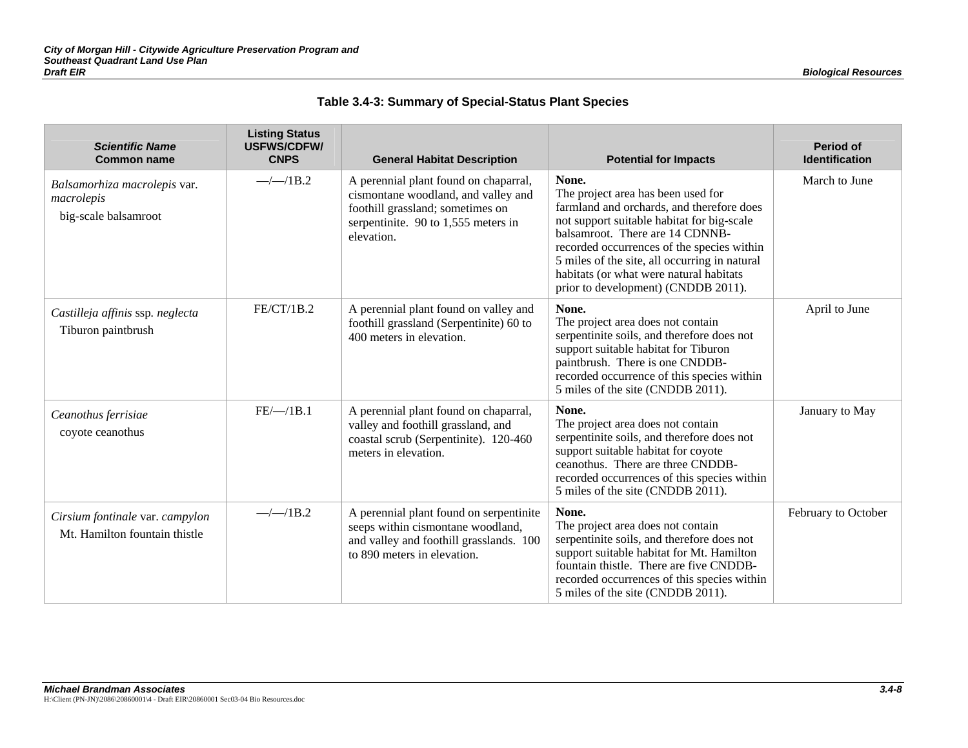| Table 3.4-3: Summary of Special-Status Plant Species |
|------------------------------------------------------|
|------------------------------------------------------|

| <b>Scientific Name</b><br><b>Common name</b>                       | <b>Listing Status</b><br><b>USFWS/CDFW/</b><br><b>CNPS</b> | <b>General Habitat Description</b>                                                                                                                                      | <b>Potential for Impacts</b>                                                                                                                                                                                                                                                                                                                               | <b>Period of</b><br>Identification |
|--------------------------------------------------------------------|------------------------------------------------------------|-------------------------------------------------------------------------------------------------------------------------------------------------------------------------|------------------------------------------------------------------------------------------------------------------------------------------------------------------------------------------------------------------------------------------------------------------------------------------------------------------------------------------------------------|------------------------------------|
| Balsamorhiza macrolepis var.<br>macrolepis<br>big-scale balsamroot | $-\frac{1}{1B.2}$                                          | A perennial plant found on chaparral,<br>cismontane woodland, and valley and<br>foothill grassland; sometimes on<br>serpentinite. 90 to $1,555$ meters in<br>elevation. | None.<br>The project area has been used for<br>farmland and orchards, and therefore does<br>not support suitable habitat for big-scale<br>balsamroot. There are 14 CDNNB-<br>recorded occurrences of the species within<br>5 miles of the site, all occurring in natural<br>habitats (or what were natural habitats<br>prior to development) (CNDDB 2011). | March to June                      |
| Castilleja affinis ssp. neglecta<br>Tiburon paintbrush             | FE/CT/1B.2                                                 | A perennial plant found on valley and<br>foothill grassland (Serpentinite) 60 to<br>400 meters in elevation.                                                            | None.<br>The project area does not contain<br>serpentinite soils, and therefore does not<br>support suitable habitat for Tiburon<br>paintbrush. There is one CNDDB-<br>recorded occurrence of this species within<br>5 miles of the site (CNDDB 2011).                                                                                                     | April to June                      |
| Ceanothus ferrisiae<br>coyote ceanothus                            | FE/—/1B.1                                                  | A perennial plant found on chaparral,<br>valley and foothill grassland, and<br>coastal scrub (Serpentinite). 120-460<br>meters in elevation.                            | None.<br>The project area does not contain<br>serpentinite soils, and therefore does not<br>support suitable habitat for coyote<br>ceanothus. There are three CNDDB-<br>recorded occurrences of this species within<br>5 miles of the site (CNDDB 2011).                                                                                                   | January to May                     |
| Cirsium fontinale var. campylon<br>Mt. Hamilton fountain thistle   | $-\frac{1}{1B.2}$                                          | A perennial plant found on serpentinite<br>seeps within cismontane woodland,<br>and valley and foothill grasslands. 100<br>to 890 meters in elevation.                  | None.<br>The project area does not contain<br>serpentinite soils, and therefore does not<br>support suitable habitat for Mt. Hamilton<br>fountain thistle. There are five CNDDB-<br>recorded occurrences of this species within<br>5 miles of the site (CNDDB 2011).                                                                                       | February to October                |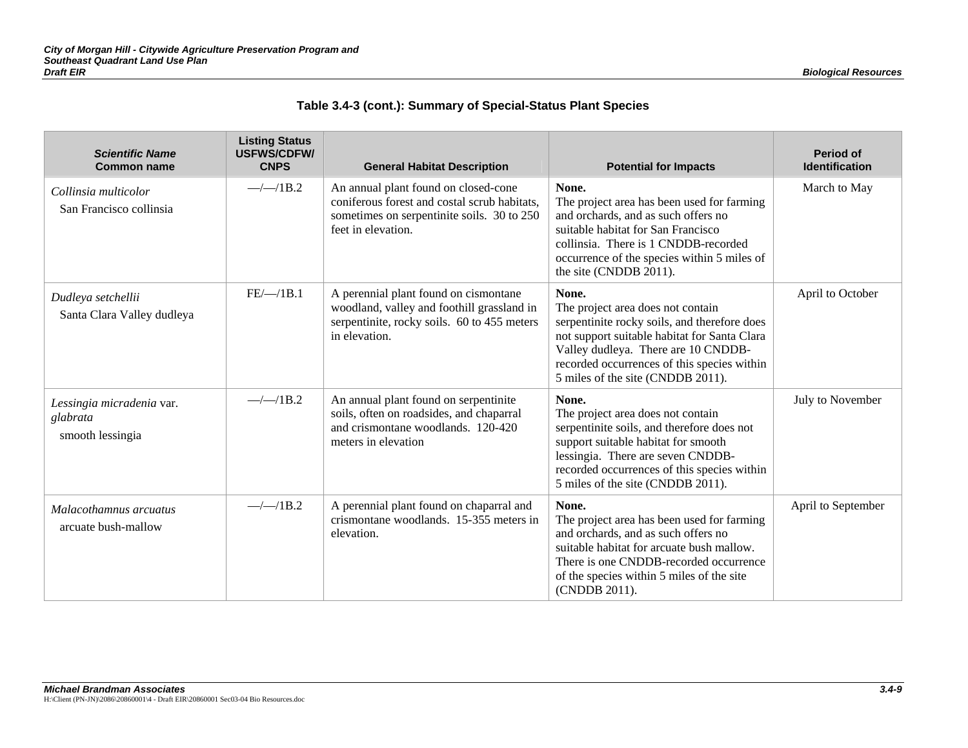|  |  | Table 3.4-3 (cont.): Summary of Special-Status Plant Species |  |
|--|--|--------------------------------------------------------------|--|
|--|--|--------------------------------------------------------------|--|

| <b>Scientific Name</b><br><b>Common name</b>              | <b>Listing Status</b><br><b>USFWS/CDFW/</b><br><b>CNPS</b> | <b>General Habitat Description</b>                                                                                                                       | <b>Potential for Impacts</b>                                                                                                                                                                                                                                          | <b>Period of</b><br><b>Identification</b> |
|-----------------------------------------------------------|------------------------------------------------------------|----------------------------------------------------------------------------------------------------------------------------------------------------------|-----------------------------------------------------------------------------------------------------------------------------------------------------------------------------------------------------------------------------------------------------------------------|-------------------------------------------|
| Collinsia multicolor<br>San Francisco collinsia           | $-\frac{1}{1B.2}$                                          | An annual plant found on closed-cone<br>coniferous forest and costal scrub habitats,<br>sometimes on serpentinite soils. 30 to 250<br>feet in elevation. | None.<br>The project area has been used for farming<br>and orchards, and as such offers no<br>suitable habitat for San Francisco<br>collinsia. There is 1 CNDDB-recorded<br>occurrence of the species within 5 miles of<br>the site (CNDDB 2011).                     | March to May                              |
| Dudleya setchellii<br>Santa Clara Valley dudleya          | FE/—/1B.1                                                  | A perennial plant found on cismontane<br>woodland, valley and foothill grassland in<br>serpentinite, rocky soils. 60 to 455 meters<br>in elevation.      | None.<br>The project area does not contain<br>serpentinite rocky soils, and therefore does<br>not support suitable habitat for Santa Clara<br>Valley dudleya. There are 10 CNDDB-<br>recorded occurrences of this species within<br>5 miles of the site (CNDDB 2011). | April to October                          |
| Lessingia micradenia var.<br>glabrata<br>smooth lessingia | $-\frac{1}{1B.2}$                                          | An annual plant found on serpentinite<br>soils, often on roadsides, and chaparral<br>and crismontane woodlands. 120-420<br>meters in elevation           | None.<br>The project area does not contain<br>serpentinite soils, and therefore does not<br>support suitable habitat for smooth<br>lessingia. There are seven CNDDB-<br>recorded occurrences of this species within<br>5 miles of the site (CNDDB 2011).              | July to November                          |
| Malacothamnus arcuatus<br>arcuate bush-mallow             | $-\frac{1}{1B.2}$                                          | A perennial plant found on chaparral and<br>crismontane woodlands. 15-355 meters in<br>elevation.                                                        | None.<br>The project area has been used for farming<br>and orchards, and as such offers no<br>suitable habitat for arcuate bush mallow.<br>There is one CNDDB-recorded occurrence<br>of the species within 5 miles of the site<br>(CNDDB 2011).                       | April to September                        |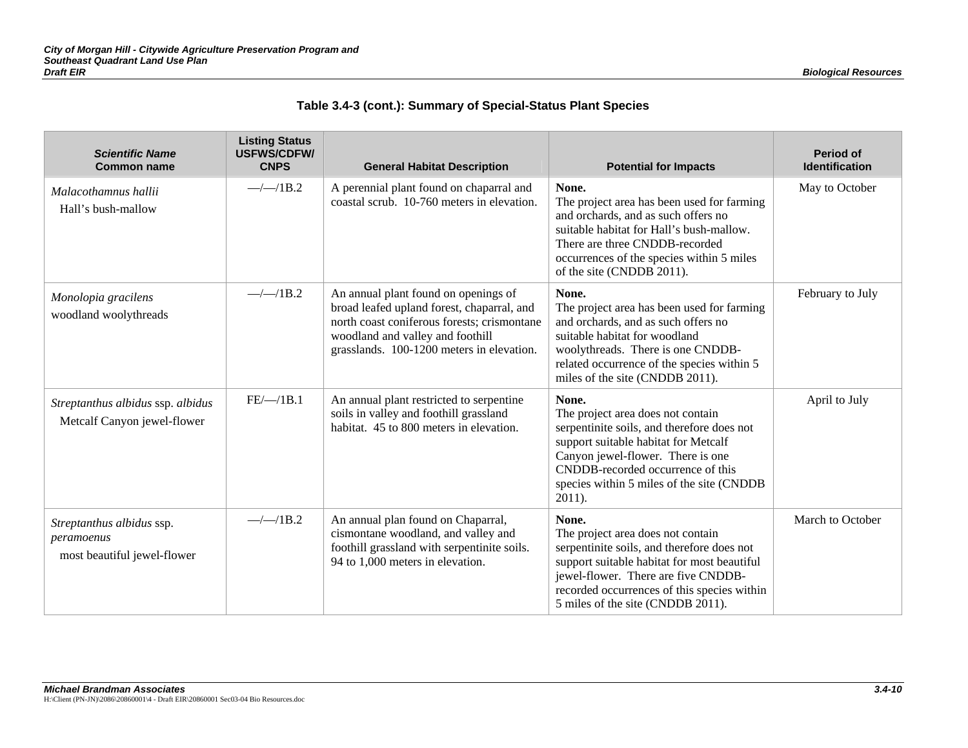|  |  | Table 3.4-3 (cont.): Summary of Special-Status Plant Species |  |
|--|--|--------------------------------------------------------------|--|
|--|--|--------------------------------------------------------------|--|

| <b>Scientific Name</b><br><b>Common name</b>                           | <b>Listing Status</b><br><b>USFWS/CDFW/</b><br><b>CNPS</b> | <b>General Habitat Description</b>                                                                                                                                                                                 | <b>Potential for Impacts</b>                                                                                                                                                                                                                                       | <b>Period of</b><br><b>Identification</b> |
|------------------------------------------------------------------------|------------------------------------------------------------|--------------------------------------------------------------------------------------------------------------------------------------------------------------------------------------------------------------------|--------------------------------------------------------------------------------------------------------------------------------------------------------------------------------------------------------------------------------------------------------------------|-------------------------------------------|
| Malacothamnus hallii<br>Hall's bush-mallow                             | $-\frac{1}{1B.2}$                                          | A perennial plant found on chaparral and<br>coastal scrub. 10-760 meters in elevation.                                                                                                                             | None.<br>The project area has been used for farming<br>and orchards, and as such offers no<br>suitable habitat for Hall's bush-mallow.<br>There are three CNDDB-recorded<br>occurrences of the species within 5 miles<br>of the site (CNDDB 2011).                 | May to October                            |
| Monolopia gracilens<br>woodland woolythreads                           | $-\frac{1}{1B.2}$                                          | An annual plant found on openings of<br>broad leafed upland forest, chaparral, and<br>north coast coniferous forests; crismontane<br>woodland and valley and foothill<br>grasslands. 100-1200 meters in elevation. | None.<br>The project area has been used for farming<br>and orchards, and as such offers no<br>suitable habitat for woodland<br>woolythreads. There is one CNDDB-<br>related occurrence of the species within 5<br>miles of the site (CNDDB 2011).                  | February to July                          |
| Streptanthus albidus ssp. albidus<br>Metcalf Canyon jewel-flower       | FE/—/1B.1                                                  | An annual plant restricted to serpentine<br>soils in valley and foothill grassland<br>habitat. 45 to 800 meters in elevation.                                                                                      | None.<br>The project area does not contain<br>serpentinite soils, and therefore does not<br>support suitable habitat for Metcalf<br>Canyon jewel-flower. There is one<br>CNDDB-recorded occurrence of this<br>species within 5 miles of the site (CNDDB<br>2011).  | April to July                             |
| Streptanthus albidus ssp.<br>peramoenus<br>most beautiful jewel-flower | $-\frac{1}{1B.2}$                                          | An annual plan found on Chaparral,<br>cismontane woodland, and valley and<br>foothill grassland with serpentinite soils.<br>94 to 1,000 meters in elevation.                                                       | None.<br>The project area does not contain<br>serpentinite soils, and therefore does not<br>support suitable habitat for most beautiful<br>jewel-flower. There are five CNDDB-<br>recorded occurrences of this species within<br>5 miles of the site (CNDDB 2011). | March to October                          |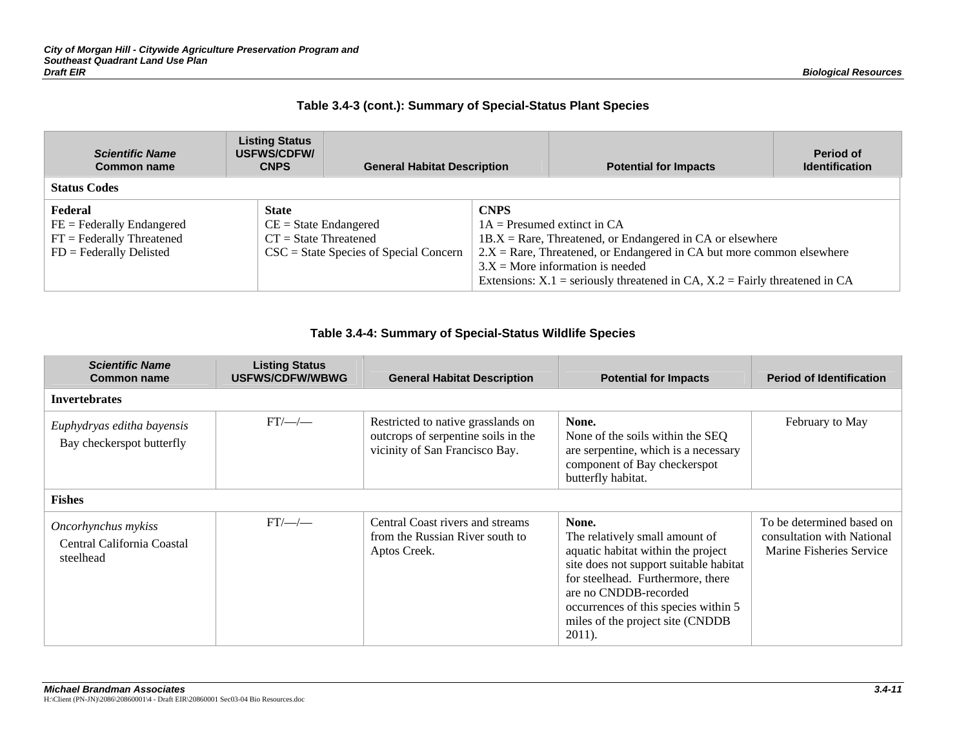## **Table 3.4-3 (cont.): Summary of Special-Status Plant Species**

| <b>Scientific Name</b><br><b>Common name</b>                                                 | <b>Listing Status</b><br>USFWS/CDFW/<br><b>CNPS</b>          | <b>General Habitat Description</b>                     |             | <b>Potential for Impacts</b>                                                                                                                                                                                                                                                                             | Period of<br><b>Identification</b> |
|----------------------------------------------------------------------------------------------|--------------------------------------------------------------|--------------------------------------------------------|-------------|----------------------------------------------------------------------------------------------------------------------------------------------------------------------------------------------------------------------------------------------------------------------------------------------------------|------------------------------------|
| <b>Status Codes</b>                                                                          |                                                              |                                                        |             |                                                                                                                                                                                                                                                                                                          |                                    |
| Federal<br>$FE = Federally Endanged$<br>$FT = Federally Thread$<br>$FD = Federally Delisted$ | <b>State</b><br>$CE = State Endanged$<br>$CT = State Thread$ | $\text{CSC} = \text{State Species}$ of Special Concern | <b>CNPS</b> | $1A =$ Presumed extinct in CA<br>$1B.X =$ Rare, Threatened, or Endangered in CA or elsewhere<br>$2.X = \text{Rare}$ , Threatened, or Endangered in CA but more common elsewhere<br>$3.X =$ More information is needed<br>Extensions: $X.1$ = seriously threatened in CA, $X.2$ = Fairly threatened in CA |                                    |

### **Table 3.4-4: Summary of Special-Status Wildlife Species**

| <b>Scientific Name</b><br>Common name                          | <b>Listing Status</b><br><b>USFWS/CDFW/WBWG</b> | <b>General Habitat Description</b>                                                                          | <b>Potential for Impacts</b>                                                                                                                                                                                                                                                | <b>Period of Identification</b>                                                     |
|----------------------------------------------------------------|-------------------------------------------------|-------------------------------------------------------------------------------------------------------------|-----------------------------------------------------------------------------------------------------------------------------------------------------------------------------------------------------------------------------------------------------------------------------|-------------------------------------------------------------------------------------|
| <b>Invertebrates</b>                                           |                                                 |                                                                                                             |                                                                                                                                                                                                                                                                             |                                                                                     |
| Euphydryas editha bayensis<br>Bay checkerspot butterfly        | $FT/\text{---}/\text{---}$                      | Restricted to native grasslands on<br>outcrops of serpentine soils in the<br>vicinity of San Francisco Bay. | None.<br>None of the soils within the SEQ<br>are serpentine, which is a necessary<br>component of Bay checkerspot<br>butterfly habitat.                                                                                                                                     | February to May                                                                     |
| <b>Fishes</b>                                                  |                                                 |                                                                                                             |                                                                                                                                                                                                                                                                             |                                                                                     |
| Oncorhynchus mykiss<br>Central California Coastal<br>steelhead | $FT/$ —/ —                                      | Central Coast rivers and streams<br>from the Russian River south to<br>Aptos Creek.                         | None.<br>The relatively small amount of<br>aquatic habitat within the project<br>site does not support suitable habitat<br>for steelhead. Furthermore, there<br>are no CNDDB-recorded<br>occurrences of this species within 5<br>miles of the project site (CNDDB<br>2011). | To be determined based on<br>consultation with National<br>Marine Fisheries Service |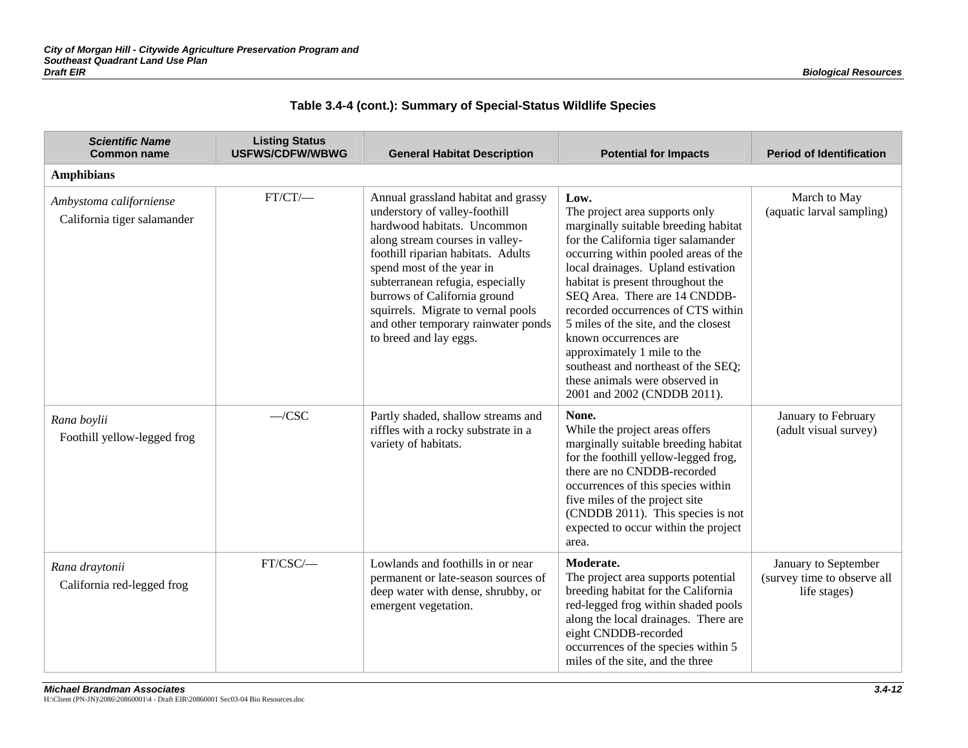|  |  | Table 3.4-4 (cont.): Summary of Special-Status Wildlife Species |  |
|--|--|-----------------------------------------------------------------|--|
|--|--|-----------------------------------------------------------------|--|

| <b>Scientific Name</b><br><b>Common name</b>           | <b>Listing Status</b><br><b>USFWS/CDFW/WBWG</b> | <b>General Habitat Description</b>                                                                                                                                                                                                                                                                                                                                                   | <b>Potential for Impacts</b>                                                                                                                                                                                                                                                                                                                                                                                                                                                                                            | <b>Period of Identification</b>                                     |
|--------------------------------------------------------|-------------------------------------------------|--------------------------------------------------------------------------------------------------------------------------------------------------------------------------------------------------------------------------------------------------------------------------------------------------------------------------------------------------------------------------------------|-------------------------------------------------------------------------------------------------------------------------------------------------------------------------------------------------------------------------------------------------------------------------------------------------------------------------------------------------------------------------------------------------------------------------------------------------------------------------------------------------------------------------|---------------------------------------------------------------------|
| <b>Amphibians</b>                                      |                                                 |                                                                                                                                                                                                                                                                                                                                                                                      |                                                                                                                                                                                                                                                                                                                                                                                                                                                                                                                         |                                                                     |
| Ambystoma californiense<br>California tiger salamander | $FT/CT/$                                        | Annual grassland habitat and grassy<br>understory of valley-foothill<br>hardwood habitats. Uncommon<br>along stream courses in valley-<br>foothill riparian habitats. Adults<br>spend most of the year in<br>subterranean refugia, especially<br>burrows of California ground<br>squirrels. Migrate to vernal pools<br>and other temporary rainwater ponds<br>to breed and lay eggs. | Low.<br>The project area supports only<br>marginally suitable breeding habitat<br>for the California tiger salamander<br>occurring within pooled areas of the<br>local drainages. Upland estivation<br>habitat is present throughout the<br>SEQ Area. There are 14 CNDDB-<br>recorded occurrences of CTS within<br>5 miles of the site, and the closest<br>known occurrences are<br>approximately 1 mile to the<br>southeast and northeast of the SEQ;<br>these animals were observed in<br>2001 and 2002 (CNDDB 2011). | March to May<br>(aquatic larval sampling)                           |
| Rana boylii<br>Foothill yellow-legged frog             | $-CSC$                                          | Partly shaded, shallow streams and<br>riffles with a rocky substrate in a<br>variety of habitats.                                                                                                                                                                                                                                                                                    | None.<br>While the project areas offers<br>marginally suitable breeding habitat<br>for the foothill yellow-legged frog,<br>there are no CNDDB-recorded<br>occurrences of this species within<br>five miles of the project site<br>(CNDDB 2011). This species is not<br>expected to occur within the project<br>area.                                                                                                                                                                                                    | January to February<br>(adult visual survey)                        |
| Rana draytonii<br>California red-legged frog           | FT/CSC/-                                        | Lowlands and foothills in or near<br>permanent or late-season sources of<br>deep water with dense, shrubby, or<br>emergent vegetation.                                                                                                                                                                                                                                               | Moderate.<br>The project area supports potential<br>breeding habitat for the California<br>red-legged frog within shaded pools<br>along the local drainages. There are<br>eight CNDDB-recorded<br>occurrences of the species within 5<br>miles of the site, and the three                                                                                                                                                                                                                                               | January to September<br>(survey time to observe all<br>life stages) |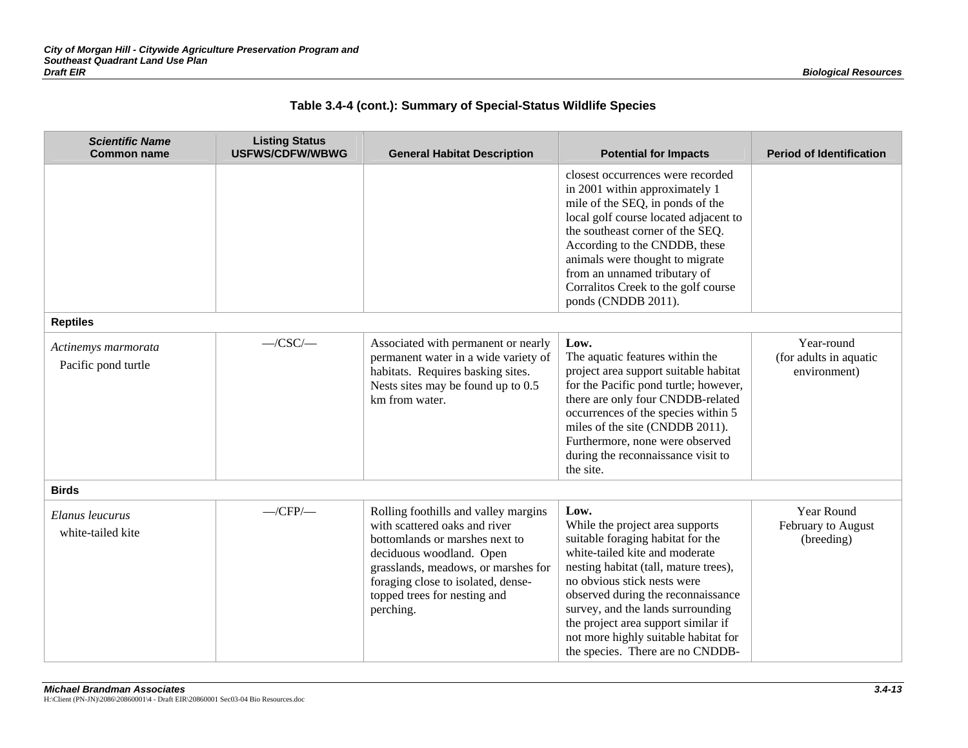| <b>Scientific Name</b><br><b>Common name</b> | <b>Listing Status</b><br><b>USFWS/CDFW/WBWG</b> | <b>General Habitat Description</b>                                                                                                                                                                                                                            | <b>Potential for Impacts</b>                                                                                                                                                                                                                                                                                                                                                         | <b>Period of Identification</b>                      |
|----------------------------------------------|-------------------------------------------------|---------------------------------------------------------------------------------------------------------------------------------------------------------------------------------------------------------------------------------------------------------------|--------------------------------------------------------------------------------------------------------------------------------------------------------------------------------------------------------------------------------------------------------------------------------------------------------------------------------------------------------------------------------------|------------------------------------------------------|
|                                              |                                                 |                                                                                                                                                                                                                                                               | closest occurrences were recorded<br>in 2001 within approximately 1<br>mile of the SEQ, in ponds of the<br>local golf course located adjacent to<br>the southeast corner of the SEQ.<br>According to the CNDDB, these<br>animals were thought to migrate<br>from an unnamed tributary of<br>Corralitos Creek to the golf course<br>ponds (CNDDB 2011).                               |                                                      |
| <b>Reptiles</b>                              |                                                 |                                                                                                                                                                                                                                                               |                                                                                                                                                                                                                                                                                                                                                                                      |                                                      |
| Actinemys marmorata<br>Pacific pond turtle   | $-CSC$ /                                        | Associated with permanent or nearly<br>permanent water in a wide variety of<br>habitats. Requires basking sites.<br>Nests sites may be found up to 0.5<br>km from water.                                                                                      | Low.<br>The aquatic features within the<br>project area support suitable habitat<br>for the Pacific pond turtle; however,<br>there are only four CNDDB-related<br>occurrences of the species within 5<br>miles of the site (CNDDB 2011).<br>Furthermore, none were observed<br>during the reconnaissance visit to<br>the site.                                                       | Year-round<br>(for adults in aquatic<br>environment) |
| <b>Birds</b>                                 |                                                 |                                                                                                                                                                                                                                                               |                                                                                                                                                                                                                                                                                                                                                                                      |                                                      |
| Elanus leucurus<br>white-tailed kite         | $\rightarrow$ CFP/ $\rightarrow$                | Rolling foothills and valley margins<br>with scattered oaks and river<br>bottomlands or marshes next to<br>deciduous woodland. Open<br>grasslands, meadows, or marshes for<br>foraging close to isolated, dense-<br>topped trees for nesting and<br>perching. | Low.<br>While the project area supports<br>suitable foraging habitat for the<br>white-tailed kite and moderate<br>nesting habitat (tall, mature trees),<br>no obvious stick nests were<br>observed during the reconnaissance<br>survey, and the lands surrounding<br>the project area support similar if<br>not more highly suitable habitat for<br>the species. There are no CNDDB- | Year Round<br>February to August<br>(breeding)       |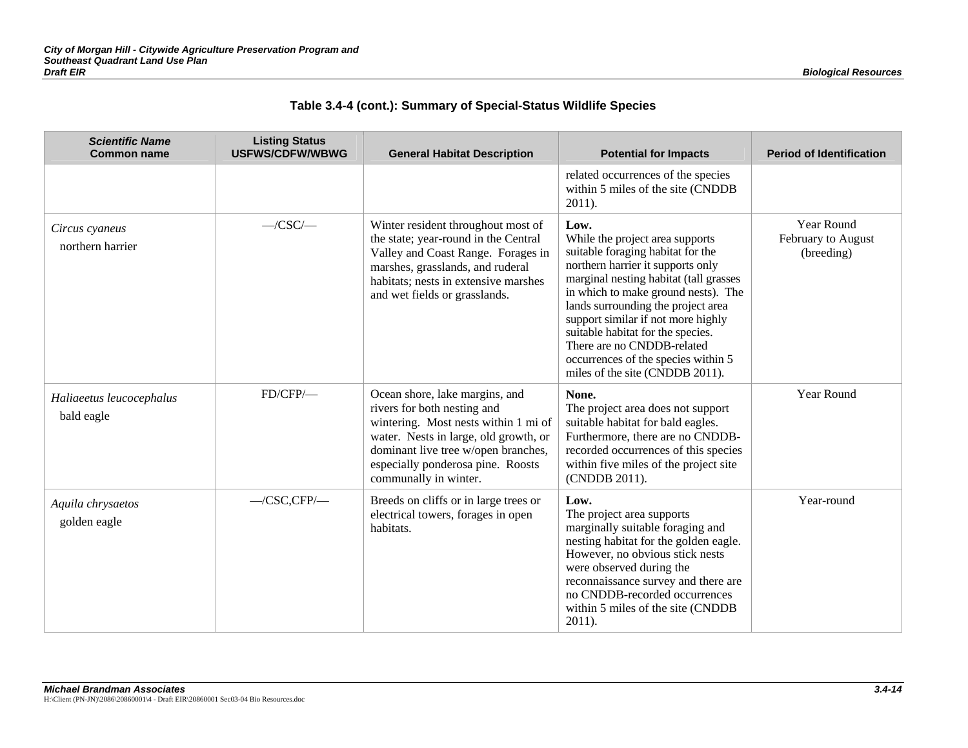|  |  | Table 3.4-4 (cont.): Summary of Special-Status Wildlife Species |  |
|--|--|-----------------------------------------------------------------|--|
|--|--|-----------------------------------------------------------------|--|

| <b>Scientific Name</b><br><b>Common name</b> | <b>Listing Status</b><br><b>USFWS/CDFW/WBWG</b> | <b>General Habitat Description</b>                                                                                                                                                                                                                  | <b>Potential for Impacts</b>                                                                                                                                                                                                                                                                                                                                                                                                | <b>Period of Identification</b>                       |
|----------------------------------------------|-------------------------------------------------|-----------------------------------------------------------------------------------------------------------------------------------------------------------------------------------------------------------------------------------------------------|-----------------------------------------------------------------------------------------------------------------------------------------------------------------------------------------------------------------------------------------------------------------------------------------------------------------------------------------------------------------------------------------------------------------------------|-------------------------------------------------------|
|                                              |                                                 |                                                                                                                                                                                                                                                     | related occurrences of the species<br>within 5 miles of the site (CNDDB<br>$2011$ ).                                                                                                                                                                                                                                                                                                                                        |                                                       |
| Circus cyaneus<br>northern harrier           | $-CSC$ /                                        | Winter resident throughout most of<br>the state; year-round in the Central<br>Valley and Coast Range. Forages in<br>marshes, grasslands, and ruderal<br>habitats; nests in extensive marshes<br>and wet fields or grasslands.                       | Low.<br>While the project area supports<br>suitable foraging habitat for the<br>northern harrier it supports only<br>marginal nesting habitat (tall grasses<br>in which to make ground nests). The<br>lands surrounding the project area<br>support similar if not more highly<br>suitable habitat for the species.<br>There are no CNDDB-related<br>occurrences of the species within 5<br>miles of the site (CNDDB 2011). | <b>Year Round</b><br>February to August<br>(breeding) |
| Haliaeetus leucocephalus<br>bald eagle       | FD/CFP/                                         | Ocean shore, lake margins, and<br>rivers for both nesting and<br>wintering. Most nests within 1 mi of<br>water. Nests in large, old growth, or<br>dominant live tree w/open branches,<br>especially ponderosa pine. Roosts<br>communally in winter. | None.<br>The project area does not support<br>suitable habitat for bald eagles.<br>Furthermore, there are no CNDDB-<br>recorded occurrences of this species<br>within five miles of the project site<br>(CNDDB 2011).                                                                                                                                                                                                       | Year Round                                            |
| Aquila chrysaetos<br>golden eagle            | $-CSC, CFP$ /-                                  | Breeds on cliffs or in large trees or<br>electrical towers, forages in open<br>habitats.                                                                                                                                                            | Low.<br>The project area supports<br>marginally suitable foraging and<br>nesting habitat for the golden eagle.<br>However, no obvious stick nests<br>were observed during the<br>reconnaissance survey and there are<br>no CNDDB-recorded occurrences<br>within 5 miles of the site (CNDDB<br>$2011$ ).                                                                                                                     | Year-round                                            |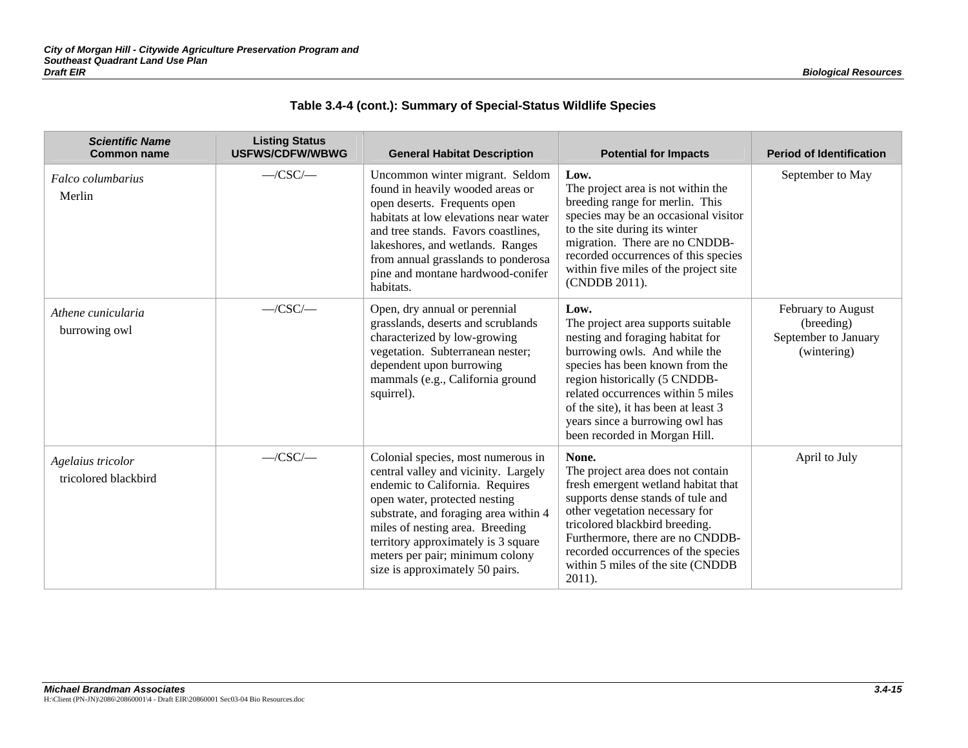|  |  | Table 3.4-4 (cont.): Summary of Special-Status Wildlife Species |  |
|--|--|-----------------------------------------------------------------|--|
|--|--|-----------------------------------------------------------------|--|

| <b>Scientific Name</b><br><b>Common name</b> | <b>Listing Status</b><br><b>USFWS/CDFW/WBWG</b> | <b>General Habitat Description</b>                                                                                                                                                                                                                                                                                                      | <b>Potential for Impacts</b>                                                                                                                                                                                                                                                                                                          | <b>Period of Identification</b>                                         |
|----------------------------------------------|-------------------------------------------------|-----------------------------------------------------------------------------------------------------------------------------------------------------------------------------------------------------------------------------------------------------------------------------------------------------------------------------------------|---------------------------------------------------------------------------------------------------------------------------------------------------------------------------------------------------------------------------------------------------------------------------------------------------------------------------------------|-------------------------------------------------------------------------|
| Falco columbarius<br>Merlin                  | $-CSC$ /                                        | Uncommon winter migrant. Seldom<br>found in heavily wooded areas or<br>open deserts. Frequents open<br>habitats at low elevations near water<br>and tree stands. Favors coastlines,<br>lakeshores, and wetlands. Ranges<br>from annual grasslands to ponderosa<br>pine and montane hardwood-conifer<br>habitats.                        | Low.<br>The project area is not within the<br>breeding range for merlin. This<br>species may be an occasional visitor<br>to the site during its winter<br>migration. There are no CNDDB-<br>recorded occurrences of this species<br>within five miles of the project site<br>(CNDDB 2011).                                            | September to May                                                        |
| Athene cunicularia<br>burrowing owl          | $-CSC$ /                                        | Open, dry annual or perennial<br>grasslands, deserts and scrublands<br>characterized by low-growing<br>vegetation. Subterranean nester;<br>dependent upon burrowing<br>mammals (e.g., California ground<br>squirrel).                                                                                                                   | Low.<br>The project area supports suitable<br>nesting and foraging habitat for<br>burrowing owls. And while the<br>species has been known from the<br>region historically (5 CNDDB-<br>related occurrences within 5 miles<br>of the site), it has been at least 3<br>years since a burrowing owl has<br>been recorded in Morgan Hill. | February to August<br>(breeding)<br>September to January<br>(wintering) |
| Agelaius tricolor<br>tricolored blackbird    | $-CSC$                                          | Colonial species, most numerous in<br>central valley and vicinity. Largely<br>endemic to California. Requires<br>open water, protected nesting<br>substrate, and foraging area within 4<br>miles of nesting area. Breeding<br>territory approximately is 3 square<br>meters per pair; minimum colony<br>size is approximately 50 pairs. | None.<br>The project area does not contain<br>fresh emergent wetland habitat that<br>supports dense stands of tule and<br>other vegetation necessary for<br>tricolored blackbird breeding.<br>Furthermore, there are no CNDDB-<br>recorded occurrences of the species<br>within 5 miles of the site (CNDDB<br>$2011$ ).               | April to July                                                           |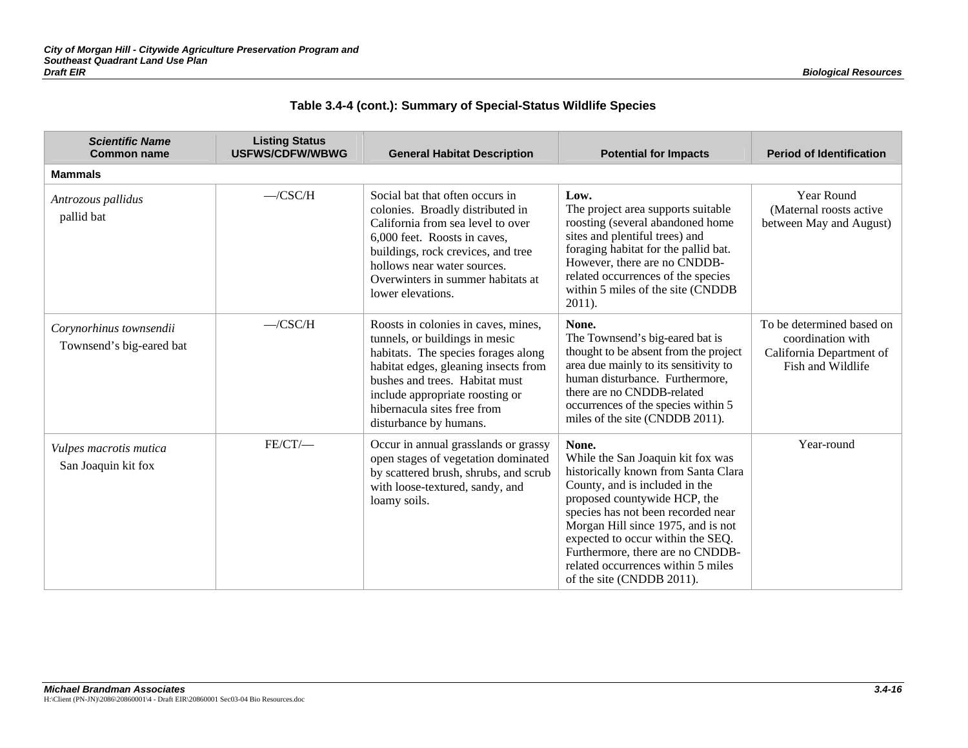|  |  | Table 3.4-4 (cont.): Summary of Special-Status Wildlife Species |  |
|--|--|-----------------------------------------------------------------|--|
|--|--|-----------------------------------------------------------------|--|

| <b>Scientific Name</b><br><b>Common name</b>        | <b>Listing Status</b><br><b>USFWS/CDFW/WBWG</b> | <b>General Habitat Description</b>                                                                                                                                                                                                                                                 | <b>Potential for Impacts</b>                                                                                                                                                                                                                                                                                                                                                | <b>Period of Identification</b>                                                                 |
|-----------------------------------------------------|-------------------------------------------------|------------------------------------------------------------------------------------------------------------------------------------------------------------------------------------------------------------------------------------------------------------------------------------|-----------------------------------------------------------------------------------------------------------------------------------------------------------------------------------------------------------------------------------------------------------------------------------------------------------------------------------------------------------------------------|-------------------------------------------------------------------------------------------------|
| <b>Mammals</b>                                      |                                                 |                                                                                                                                                                                                                                                                                    |                                                                                                                                                                                                                                                                                                                                                                             |                                                                                                 |
| Antrozous pallidus<br>pallid bat                    | $-CSC/H$                                        | Social bat that often occurs in<br>colonies. Broadly distributed in<br>California from sea level to over<br>6,000 feet. Roosts in caves,<br>buildings, rock crevices, and tree<br>hollows near water sources.<br>Overwinters in summer habitats at<br>lower elevations.            | Low.<br>The project area supports suitable<br>roosting (several abandoned home<br>sites and plentiful trees) and<br>foraging habitat for the pallid bat.<br>However, there are no CNDDB-<br>related occurrences of the species<br>within 5 miles of the site (CNDDB<br>$2011$ ).                                                                                            | Year Round<br>(Maternal roosts active)<br>between May and August)                               |
| Corynorhinus townsendii<br>Townsend's big-eared bat | $-CSC/H$                                        | Roosts in colonies in caves, mines,<br>tunnels, or buildings in mesic<br>habitats. The species forages along<br>habitat edges, gleaning insects from<br>bushes and trees. Habitat must<br>include appropriate roosting or<br>hibernacula sites free from<br>disturbance by humans. | None.<br>The Townsend's big-eared bat is<br>thought to be absent from the project<br>area due mainly to its sensitivity to<br>human disturbance. Furthermore,<br>there are no CNDDB-related<br>occurrences of the species within 5<br>miles of the site (CNDDB 2011).                                                                                                       | To be determined based on<br>coordination with<br>California Department of<br>Fish and Wildlife |
| Vulpes macrotis mutica<br>San Joaquin kit fox       | $FE/CT$ /-                                      | Occur in annual grasslands or grassy<br>open stages of vegetation dominated<br>by scattered brush, shrubs, and scrub<br>with loose-textured, sandy, and<br>loamy soils.                                                                                                            | None.<br>While the San Joaquin kit fox was<br>historically known from Santa Clara<br>County, and is included in the<br>proposed countywide HCP, the<br>species has not been recorded near<br>Morgan Hill since 1975, and is not<br>expected to occur within the SEQ.<br>Furthermore, there are no CNDDB-<br>related occurrences within 5 miles<br>of the site (CNDDB 2011). | Year-round                                                                                      |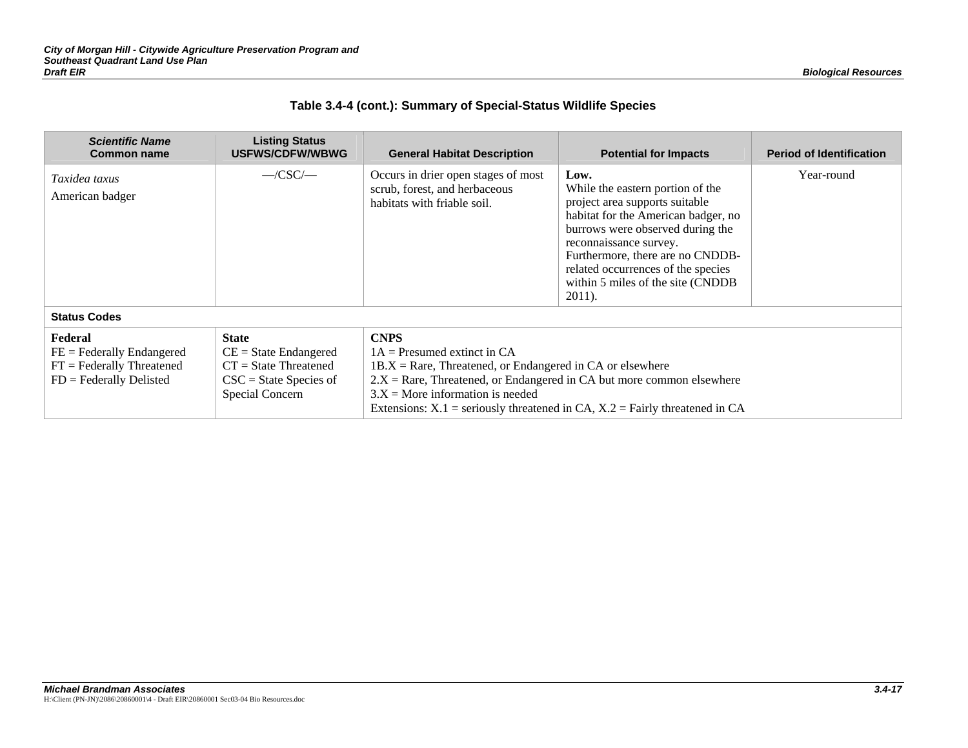|  | Table 3.4-4 (cont.): Summary of Special-Status Wildlife Species |  |
|--|-----------------------------------------------------------------|--|
|  |                                                                 |  |

| <b>Scientific Name</b><br><b>Common name</b>                                                 | <b>Listing Status</b><br><b>USFWS/CDFW/WBWG</b>                                                                           | <b>General Habitat Description</b>                                                                                                                                                                                            | <b>Potential for Impacts</b>                                                                                                                                                                                                                                                                              | <b>Period of Identification</b> |
|----------------------------------------------------------------------------------------------|---------------------------------------------------------------------------------------------------------------------------|-------------------------------------------------------------------------------------------------------------------------------------------------------------------------------------------------------------------------------|-----------------------------------------------------------------------------------------------------------------------------------------------------------------------------------------------------------------------------------------------------------------------------------------------------------|---------------------------------|
| Taxidea taxus<br>American badger                                                             | $-CSC$                                                                                                                    | Occurs in drier open stages of most<br>scrub, forest, and herbaceous<br>habitats with friable soil.                                                                                                                           | Low.<br>While the eastern portion of the<br>project area supports suitable<br>habitat for the American badger, no<br>burrows were observed during the<br>reconnaissance survey.<br>Furthermore, there are no CNDDB-<br>related occurrences of the species<br>within 5 miles of the site (CNDDB)<br>2011). | Year-round                      |
| <b>Status Codes</b>                                                                          |                                                                                                                           |                                                                                                                                                                                                                               |                                                                                                                                                                                                                                                                                                           |                                 |
| Federal<br>$FE = Federally Endanged$<br>$FT = Federally Thread$<br>$FD = Federally Delisted$ | <b>State</b><br>$CE = State Endanged$<br>$CT = State Thread$<br>$\text{CSC} = \text{State Species of}$<br>Special Concern | <b>CNPS</b><br>$1A =$ Presumed extinct in CA<br>$1B.X = Rare$ , Threatened, or Endangered in CA or elsewhere<br>$2.X =$ Rare, Threatened, or Endangered in CA but more common elsewhere<br>$3.X =$ More information is needed | Extensions: $X.1$ = seriously threatened in CA, $X.2$ = Fairly threatened in CA                                                                                                                                                                                                                           |                                 |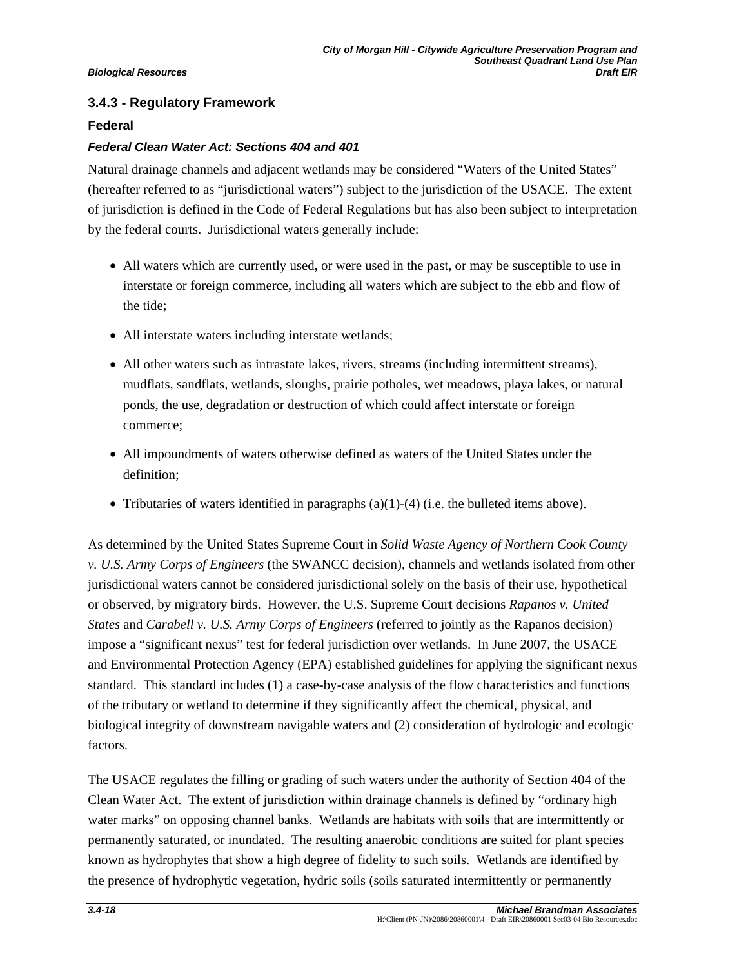## **3.4.3 - Regulatory Framework**

### **Federal**

### *Federal Clean Water Act: Sections 404 and 401*

Natural drainage channels and adjacent wetlands may be considered "Waters of the United States" (hereafter referred to as "jurisdictional waters") subject to the jurisdiction of the USACE. The extent of jurisdiction is defined in the Code of Federal Regulations but has also been subject to interpretation by the federal courts. Jurisdictional waters generally include:

- All waters which are currently used, or were used in the past, or may be susceptible to use in interstate or foreign commerce, including all waters which are subject to the ebb and flow of the tide;
- All interstate waters including interstate wetlands;
- All other waters such as intrastate lakes, rivers, streams (including intermittent streams), mudflats, sandflats, wetlands, sloughs, prairie potholes, wet meadows, playa lakes, or natural ponds, the use, degradation or destruction of which could affect interstate or foreign commerce;
- All impoundments of waters otherwise defined as waters of the United States under the definition;
- Tributaries of waters identified in paragraphs  $(a)(1)-(4)$  (i.e. the bulleted items above).

As determined by the United States Supreme Court in *Solid Waste Agency of Northern Cook County v. U.S. Army Corps of Engineers* (the SWANCC decision), channels and wetlands isolated from other jurisdictional waters cannot be considered jurisdictional solely on the basis of their use, hypothetical or observed, by migratory birds. However, the U.S. Supreme Court decisions *Rapanos v. United States* and *Carabell v. U.S. Army Corps of Engineers* (referred to jointly as the Rapanos decision) impose a "significant nexus" test for federal jurisdiction over wetlands. In June 2007, the USACE and Environmental Protection Agency (EPA) established guidelines for applying the significant nexus standard. This standard includes (1) a case-by-case analysis of the flow characteristics and functions of the tributary or wetland to determine if they significantly affect the chemical, physical, and biological integrity of downstream navigable waters and (2) consideration of hydrologic and ecologic factors.

The USACE regulates the filling or grading of such waters under the authority of Section 404 of the Clean Water Act. The extent of jurisdiction within drainage channels is defined by "ordinary high water marks" on opposing channel banks. Wetlands are habitats with soils that are intermittently or permanently saturated, or inundated. The resulting anaerobic conditions are suited for plant species known as hydrophytes that show a high degree of fidelity to such soils. Wetlands are identified by the presence of hydrophytic vegetation, hydric soils (soils saturated intermittently or permanently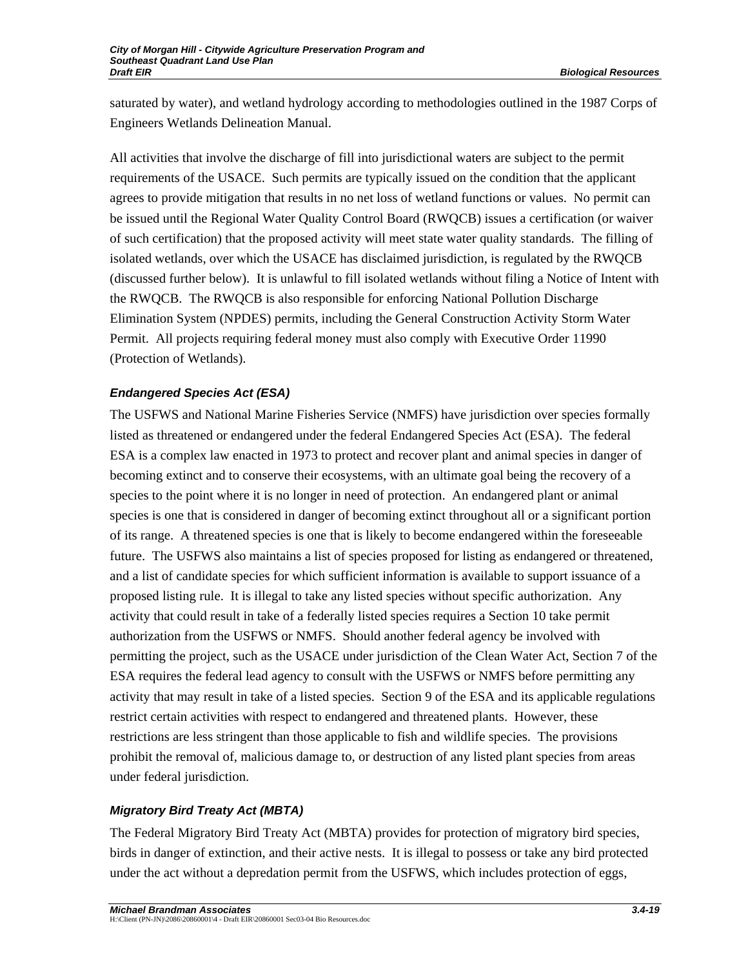saturated by water), and wetland hydrology according to methodologies outlined in the 1987 Corps of Engineers Wetlands Delineation Manual.

All activities that involve the discharge of fill into jurisdictional waters are subject to the permit requirements of the USACE. Such permits are typically issued on the condition that the applicant agrees to provide mitigation that results in no net loss of wetland functions or values. No permit can be issued until the Regional Water Quality Control Board (RWQCB) issues a certification (or waiver of such certification) that the proposed activity will meet state water quality standards. The filling of isolated wetlands, over which the USACE has disclaimed jurisdiction, is regulated by the RWQCB (discussed further below). It is unlawful to fill isolated wetlands without filing a Notice of Intent with the RWQCB. The RWQCB is also responsible for enforcing National Pollution Discharge Elimination System (NPDES) permits, including the General Construction Activity Storm Water Permit. All projects requiring federal money must also comply with Executive Order 11990 (Protection of Wetlands).

## *Endangered Species Act (ESA)*

The USFWS and National Marine Fisheries Service (NMFS) have jurisdiction over species formally listed as threatened or endangered under the federal Endangered Species Act (ESA). The federal ESA is a complex law enacted in 1973 to protect and recover plant and animal species in danger of becoming extinct and to conserve their ecosystems, with an ultimate goal being the recovery of a species to the point where it is no longer in need of protection. An endangered plant or animal species is one that is considered in danger of becoming extinct throughout all or a significant portion of its range. A threatened species is one that is likely to become endangered within the foreseeable future. The USFWS also maintains a list of species proposed for listing as endangered or threatened, and a list of candidate species for which sufficient information is available to support issuance of a proposed listing rule. It is illegal to take any listed species without specific authorization. Any activity that could result in take of a federally listed species requires a Section 10 take permit authorization from the USFWS or NMFS. Should another federal agency be involved with permitting the project, such as the USACE under jurisdiction of the Clean Water Act, Section 7 of the ESA requires the federal lead agency to consult with the USFWS or NMFS before permitting any activity that may result in take of a listed species. Section 9 of the ESA and its applicable regulations restrict certain activities with respect to endangered and threatened plants. However, these restrictions are less stringent than those applicable to fish and wildlife species. The provisions prohibit the removal of, malicious damage to, or destruction of any listed plant species from areas under federal jurisdiction.

## *Migratory Bird Treaty Act (MBTA)*

The Federal Migratory Bird Treaty Act (MBTA) provides for protection of migratory bird species, birds in danger of extinction, and their active nests. It is illegal to possess or take any bird protected under the act without a depredation permit from the USFWS, which includes protection of eggs,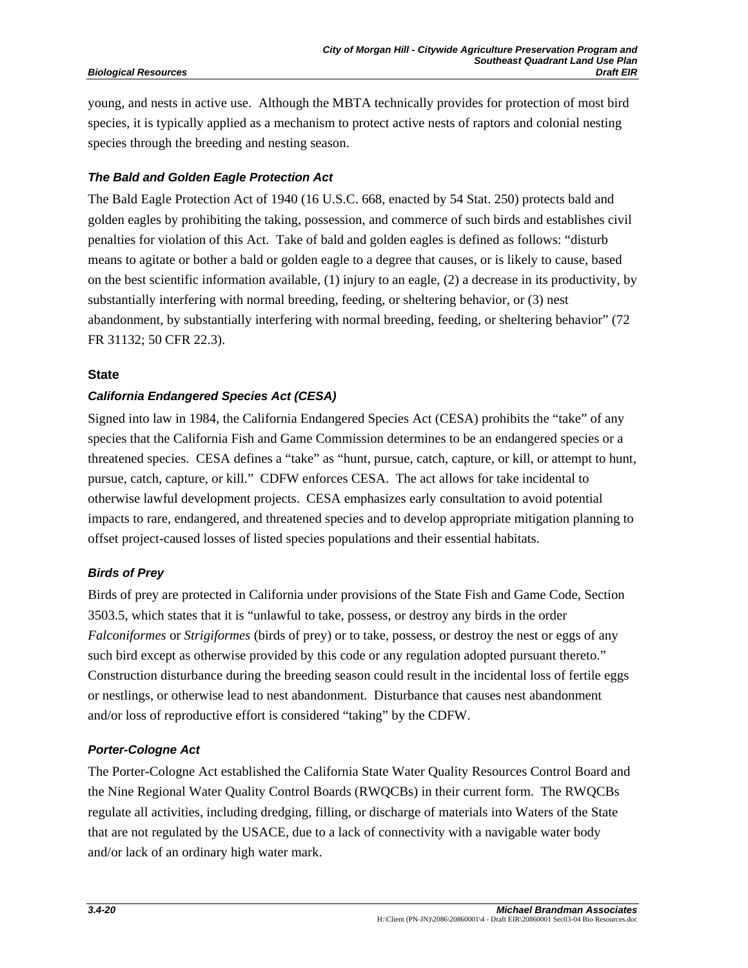young, and nests in active use. Although the MBTA technically provides for protection of most bird species, it is typically applied as a mechanism to protect active nests of raptors and colonial nesting species through the breeding and nesting season.

## *The Bald and Golden Eagle Protection Act*

The Bald Eagle Protection Act of 1940 (16 U.S.C. 668, enacted by 54 Stat. 250) protects bald and golden eagles by prohibiting the taking, possession, and commerce of such birds and establishes civil penalties for violation of this Act. Take of bald and golden eagles is defined as follows: "disturb means to agitate or bother a bald or golden eagle to a degree that causes, or is likely to cause, based on the best scientific information available, (1) injury to an eagle, (2) a decrease in its productivity, by substantially interfering with normal breeding, feeding, or sheltering behavior, or (3) nest abandonment, by substantially interfering with normal breeding, feeding, or sheltering behavior" (72 FR 31132; 50 CFR 22.3).

## **State**

## *California Endangered Species Act (CESA)*

Signed into law in 1984, the California Endangered Species Act (CESA) prohibits the "take" of any species that the California Fish and Game Commission determines to be an endangered species or a threatened species. CESA defines a "take" as "hunt, pursue, catch, capture, or kill, or attempt to hunt, pursue, catch, capture, or kill." CDFW enforces CESA. The act allows for take incidental to otherwise lawful development projects. CESA emphasizes early consultation to avoid potential impacts to rare, endangered, and threatened species and to develop appropriate mitigation planning to offset project-caused losses of listed species populations and their essential habitats.

## *Birds of Prey*

Birds of prey are protected in California under provisions of the State Fish and Game Code, Section 3503.5, which states that it is "unlawful to take, possess, or destroy any birds in the order *Falconiformes* or *Strigiformes* (birds of prey) or to take, possess, or destroy the nest or eggs of any such bird except as otherwise provided by this code or any regulation adopted pursuant thereto." Construction disturbance during the breeding season could result in the incidental loss of fertile eggs or nestlings, or otherwise lead to nest abandonment. Disturbance that causes nest abandonment and/or loss of reproductive effort is considered "taking" by the CDFW.

## *Porter-Cologne Act*

The Porter-Cologne Act established the California State Water Quality Resources Control Board and the Nine Regional Water Quality Control Boards (RWQCBs) in their current form. The RWQCBs regulate all activities, including dredging, filling, or discharge of materials into Waters of the State that are not regulated by the USACE, due to a lack of connectivity with a navigable water body and/or lack of an ordinary high water mark.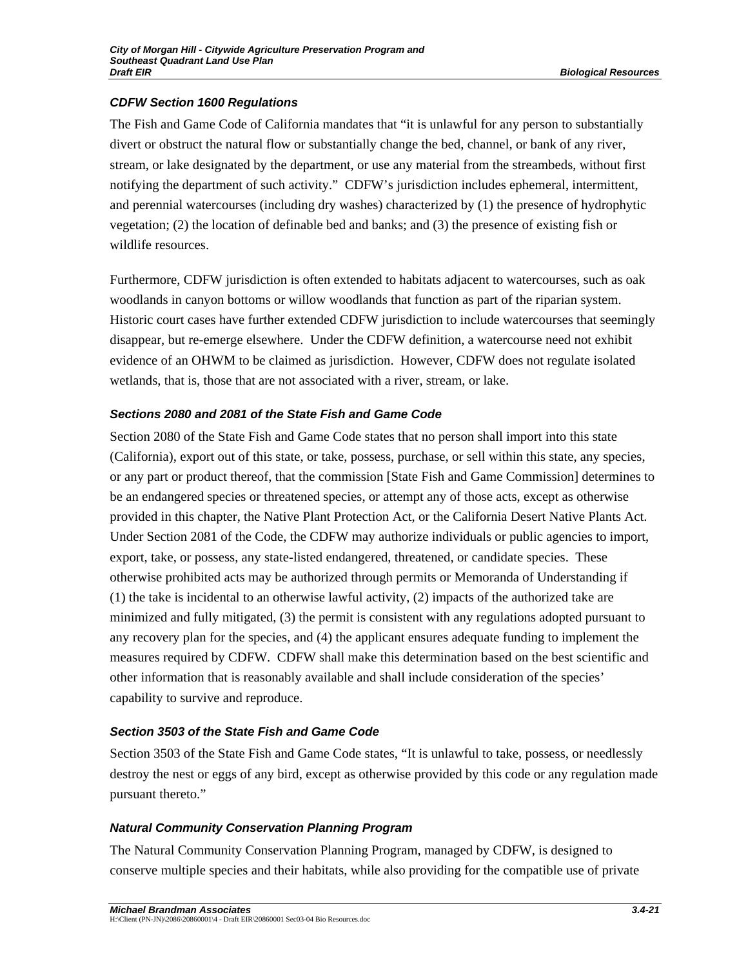### *CDFW Section 1600 Regulations*

The Fish and Game Code of California mandates that "it is unlawful for any person to substantially divert or obstruct the natural flow or substantially change the bed, channel, or bank of any river, stream, or lake designated by the department, or use any material from the streambeds, without first notifying the department of such activity." CDFW's jurisdiction includes ephemeral, intermittent, and perennial watercourses (including dry washes) characterized by (1) the presence of hydrophytic vegetation; (2) the location of definable bed and banks; and (3) the presence of existing fish or wildlife resources.

Furthermore, CDFW jurisdiction is often extended to habitats adjacent to watercourses, such as oak woodlands in canyon bottoms or willow woodlands that function as part of the riparian system. Historic court cases have further extended CDFW jurisdiction to include watercourses that seemingly disappear, but re-emerge elsewhere. Under the CDFW definition, a watercourse need not exhibit evidence of an OHWM to be claimed as jurisdiction. However, CDFW does not regulate isolated wetlands, that is, those that are not associated with a river, stream, or lake.

## *Sections 2080 and 2081 of the State Fish and Game Code*

Section 2080 of the State Fish and Game Code states that no person shall import into this state (California), export out of this state, or take, possess, purchase, or sell within this state, any species, or any part or product thereof, that the commission [State Fish and Game Commission] determines to be an endangered species or threatened species, or attempt any of those acts, except as otherwise provided in this chapter, the Native Plant Protection Act, or the California Desert Native Plants Act. Under Section 2081 of the Code, the CDFW may authorize individuals or public agencies to import, export, take, or possess, any state-listed endangered, threatened, or candidate species. These otherwise prohibited acts may be authorized through permits or Memoranda of Understanding if (1) the take is incidental to an otherwise lawful activity, (2) impacts of the authorized take are minimized and fully mitigated, (3) the permit is consistent with any regulations adopted pursuant to any recovery plan for the species, and (4) the applicant ensures adequate funding to implement the measures required by CDFW. CDFW shall make this determination based on the best scientific and other information that is reasonably available and shall include consideration of the species' capability to survive and reproduce.

#### *Section 3503 of the State Fish and Game Code*

Section 3503 of the State Fish and Game Code states, "It is unlawful to take, possess, or needlessly destroy the nest or eggs of any bird, except as otherwise provided by this code or any regulation made pursuant thereto."

#### *Natural Community Conservation Planning Program*

The Natural Community Conservation Planning Program, managed by CDFW, is designed to conserve multiple species and their habitats, while also providing for the compatible use of private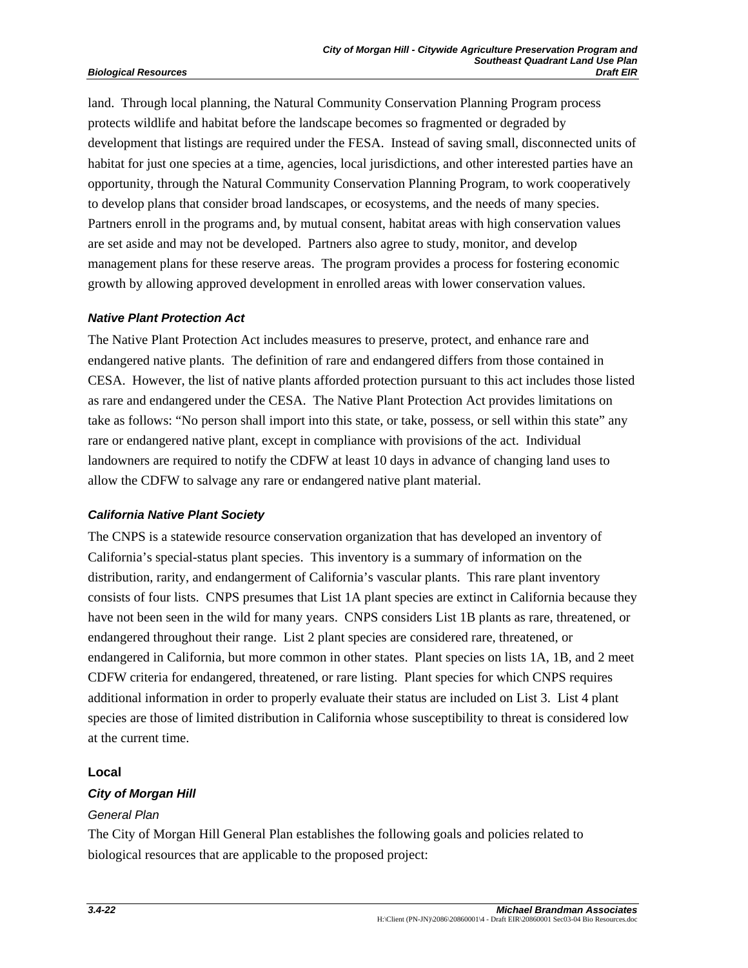land. Through local planning, the Natural Community Conservation Planning Program process protects wildlife and habitat before the landscape becomes so fragmented or degraded by development that listings are required under the FESA. Instead of saving small, disconnected units of habitat for just one species at a time, agencies, local jurisdictions, and other interested parties have an opportunity, through the Natural Community Conservation Planning Program, to work cooperatively to develop plans that consider broad landscapes, or ecosystems, and the needs of many species. Partners enroll in the programs and, by mutual consent, habitat areas with high conservation values are set aside and may not be developed. Partners also agree to study, monitor, and develop management plans for these reserve areas. The program provides a process for fostering economic growth by allowing approved development in enrolled areas with lower conservation values.

#### *Native Plant Protection Act*

The Native Plant Protection Act includes measures to preserve, protect, and enhance rare and endangered native plants. The definition of rare and endangered differs from those contained in CESA. However, the list of native plants afforded protection pursuant to this act includes those listed as rare and endangered under the CESA. The Native Plant Protection Act provides limitations on take as follows: "No person shall import into this state, or take, possess, or sell within this state" any rare or endangered native plant, except in compliance with provisions of the act. Individual landowners are required to notify the CDFW at least 10 days in advance of changing land uses to allow the CDFW to salvage any rare or endangered native plant material.

#### *California Native Plant Society*

The CNPS is a statewide resource conservation organization that has developed an inventory of California's special-status plant species. This inventory is a summary of information on the distribution, rarity, and endangerment of California's vascular plants. This rare plant inventory consists of four lists. CNPS presumes that List 1A plant species are extinct in California because they have not been seen in the wild for many years. CNPS considers List 1B plants as rare, threatened, or endangered throughout their range. List 2 plant species are considered rare, threatened, or endangered in California, but more common in other states. Plant species on lists 1A, 1B, and 2 meet CDFW criteria for endangered, threatened, or rare listing. Plant species for which CNPS requires additional information in order to properly evaluate their status are included on List 3. List 4 plant species are those of limited distribution in California whose susceptibility to threat is considered low at the current time.

#### **Local**

#### *City of Morgan Hill*

#### *General Plan*

The City of Morgan Hill General Plan establishes the following goals and policies related to biological resources that are applicable to the proposed project: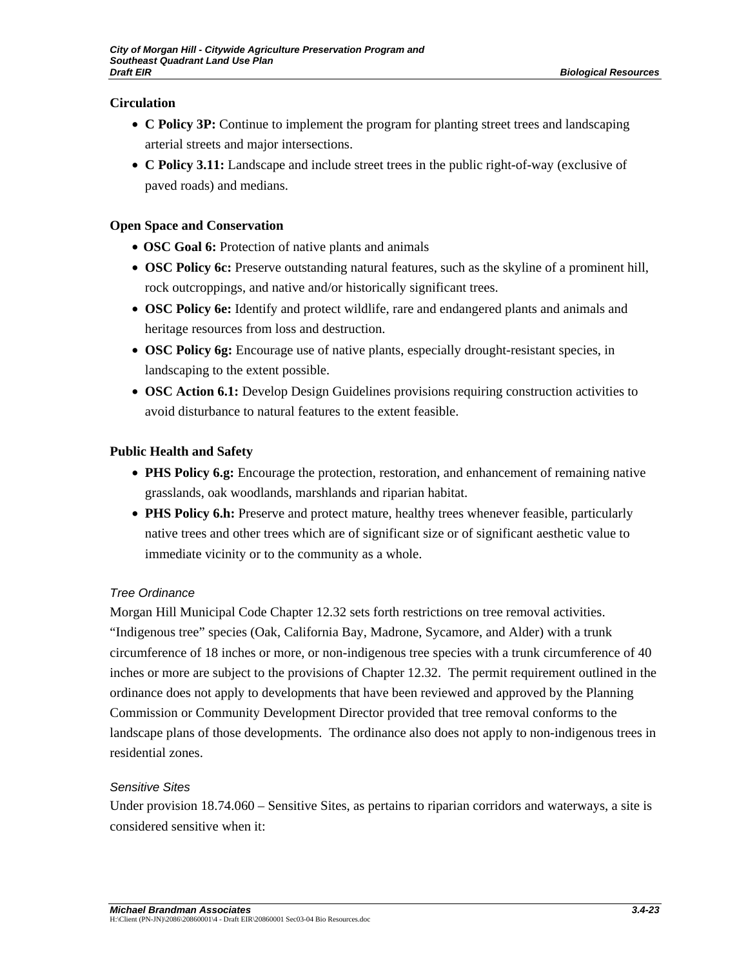## **Circulation**

- **C Policy 3P:** Continue to implement the program for planting street trees and landscaping arterial streets and major intersections.
- **C Policy 3.11:** Landscape and include street trees in the public right-of-way (exclusive of paved roads) and medians.

## **Open Space and Conservation**

- **OSC Goal 6:** Protection of native plants and animals
- **OSC Policy 6c:** Preserve outstanding natural features, such as the skyline of a prominent hill, rock outcroppings, and native and/or historically significant trees.
- **OSC Policy 6e:** Identify and protect wildlife, rare and endangered plants and animals and heritage resources from loss and destruction.
- **OSC Policy 6g:** Encourage use of native plants, especially drought-resistant species, in landscaping to the extent possible.
- **OSC Action 6.1:** Develop Design Guidelines provisions requiring construction activities to avoid disturbance to natural features to the extent feasible.

## **Public Health and Safety**

- **PHS Policy 6.g:** Encourage the protection, restoration, and enhancement of remaining native grasslands, oak woodlands, marshlands and riparian habitat.
- **PHS Policy 6.h:** Preserve and protect mature, healthy trees whenever feasible, particularly native trees and other trees which are of significant size or of significant aesthetic value to immediate vicinity or to the community as a whole.

## *Tree Ordinance*

Morgan Hill Municipal Code Chapter 12.32 sets forth restrictions on tree removal activities. "Indigenous tree" species (Oak, California Bay, Madrone, Sycamore, and Alder) with a trunk circumference of 18 inches or more, or non-indigenous tree species with a trunk circumference of 40 inches or more are subject to the provisions of Chapter 12.32. The permit requirement outlined in the ordinance does not apply to developments that have been reviewed and approved by the Planning Commission or Community Development Director provided that tree removal conforms to the landscape plans of those developments. The ordinance also does not apply to non-indigenous trees in residential zones.

## *Sensitive Sites*

Under provision 18.74.060 – Sensitive Sites, as pertains to riparian corridors and waterways, a site is considered sensitive when it: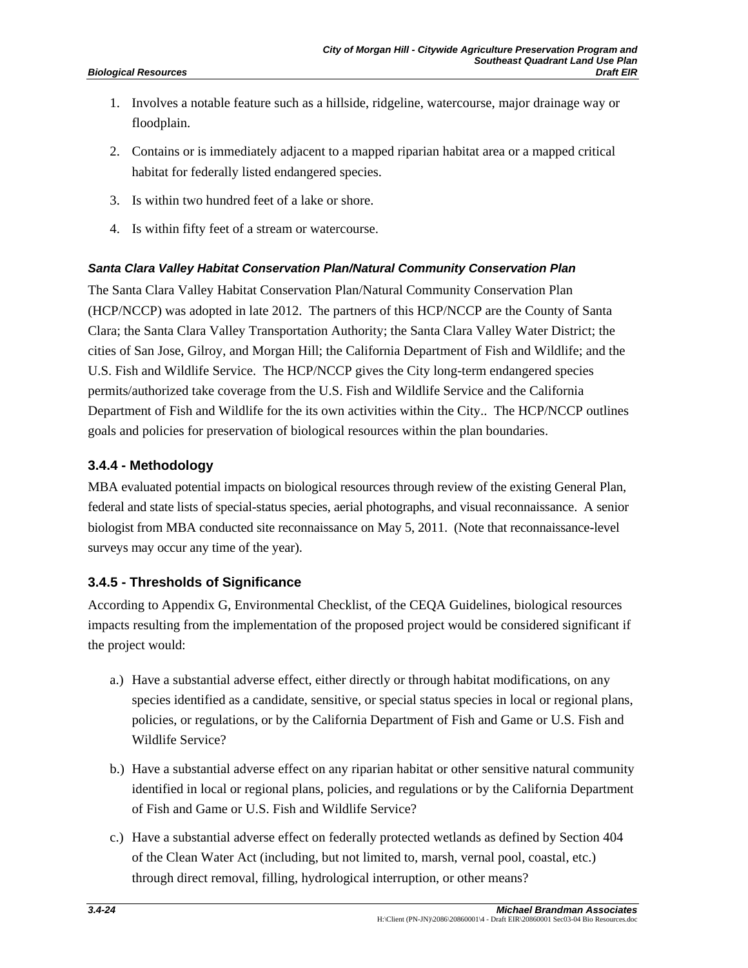- 1. Involves a notable feature such as a hillside, ridgeline, watercourse, major drainage way or floodplain.
- 2. Contains or is immediately adjacent to a mapped riparian habitat area or a mapped critical habitat for federally listed endangered species.
- 3. Is within two hundred feet of a lake or shore.
- 4. Is within fifty feet of a stream or watercourse.

## *Santa Clara Valley Habitat Conservation Plan/Natural Community Conservation Plan*

The Santa Clara Valley Habitat Conservation Plan/Natural Community Conservation Plan (HCP/NCCP) was adopted in late 2012. The partners of this HCP/NCCP are the County of Santa Clara; the Santa Clara Valley Transportation Authority; the Santa Clara Valley Water District; the cities of San Jose, Gilroy, and Morgan Hill; the California Department of Fish and Wildlife; and the U.S. Fish and Wildlife Service. The HCP/NCCP gives the City long-term endangered species permits/authorized take coverage from the U.S. Fish and Wildlife Service and the California Department of Fish and Wildlife for the its own activities within the City.. The HCP/NCCP outlines goals and policies for preservation of biological resources within the plan boundaries.

## **3.4.4 - Methodology**

MBA evaluated potential impacts on biological resources through review of the existing General Plan, federal and state lists of special-status species, aerial photographs, and visual reconnaissance. A senior biologist from MBA conducted site reconnaissance on May 5, 2011. (Note that reconnaissance-level surveys may occur any time of the year).

## **3.4.5 - Thresholds of Significance**

According to Appendix G, Environmental Checklist, of the CEQA Guidelines, biological resources impacts resulting from the implementation of the proposed project would be considered significant if the project would:

- a.) Have a substantial adverse effect, either directly or through habitat modifications, on any species identified as a candidate, sensitive, or special status species in local or regional plans, policies, or regulations, or by the California Department of Fish and Game or U.S. Fish and Wildlife Service?
- b.) Have a substantial adverse effect on any riparian habitat or other sensitive natural community identified in local or regional plans, policies, and regulations or by the California Department of Fish and Game or U.S. Fish and Wildlife Service?
- c.) Have a substantial adverse effect on federally protected wetlands as defined by Section 404 of the Clean Water Act (including, but not limited to, marsh, vernal pool, coastal, etc.) through direct removal, filling, hydrological interruption, or other means?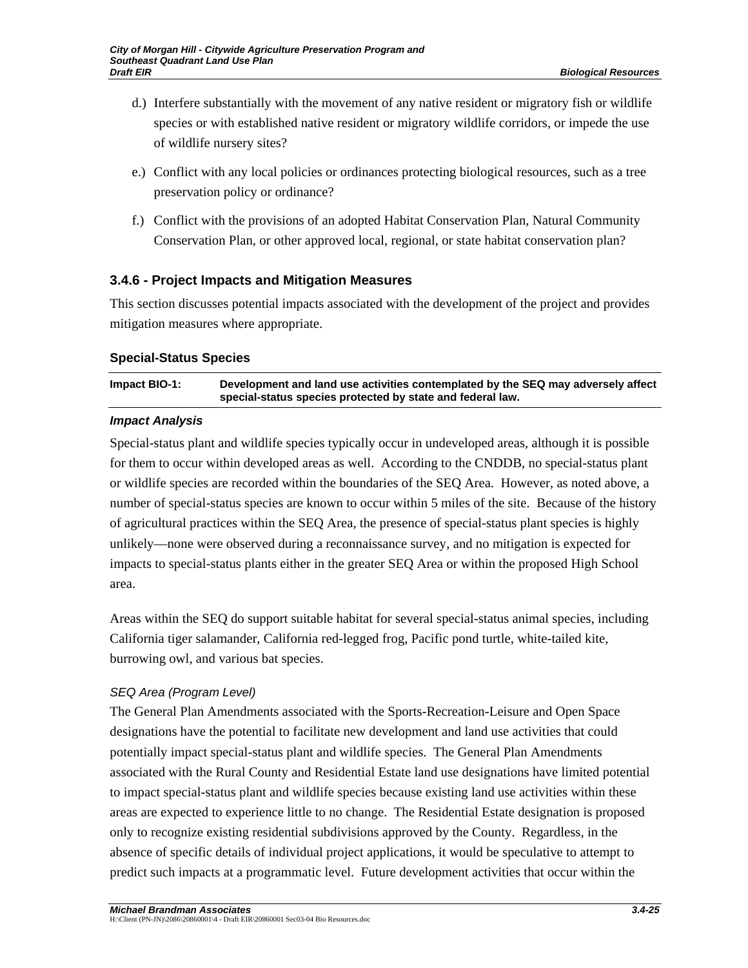- d.) Interfere substantially with the movement of any native resident or migratory fish or wildlife species or with established native resident or migratory wildlife corridors, or impede the use of wildlife nursery sites?
- e.) Conflict with any local policies or ordinances protecting biological resources, such as a tree preservation policy or ordinance?
- f.) Conflict with the provisions of an adopted Habitat Conservation Plan, Natural Community Conservation Plan, or other approved local, regional, or state habitat conservation plan?

## **3.4.6 - Project Impacts and Mitigation Measures**

This section discusses potential impacts associated with the development of the project and provides mitigation measures where appropriate.

## **Special-Status Species**

## **Impact BIO-1: Development and land use activities contemplated by the SEQ may adversely affect special-status species protected by state and federal law.**

## *Impact Analysis*

Special-status plant and wildlife species typically occur in undeveloped areas, although it is possible for them to occur within developed areas as well. According to the CNDDB, no special-status plant or wildlife species are recorded within the boundaries of the SEQ Area. However, as noted above, a number of special-status species are known to occur within 5 miles of the site. Because of the history of agricultural practices within the SEQ Area, the presence of special-status plant species is highly unlikely—none were observed during a reconnaissance survey, and no mitigation is expected for impacts to special-status plants either in the greater SEQ Area or within the proposed High School area.

Areas within the SEQ do support suitable habitat for several special-status animal species, including California tiger salamander, California red-legged frog, Pacific pond turtle, white-tailed kite, burrowing owl, and various bat species.

## *SEQ Area (Program Level)*

The General Plan Amendments associated with the Sports-Recreation-Leisure and Open Space designations have the potential to facilitate new development and land use activities that could potentially impact special-status plant and wildlife species. The General Plan Amendments associated with the Rural County and Residential Estate land use designations have limited potential to impact special-status plant and wildlife species because existing land use activities within these areas are expected to experience little to no change. The Residential Estate designation is proposed only to recognize existing residential subdivisions approved by the County. Regardless, in the absence of specific details of individual project applications, it would be speculative to attempt to predict such impacts at a programmatic level. Future development activities that occur within the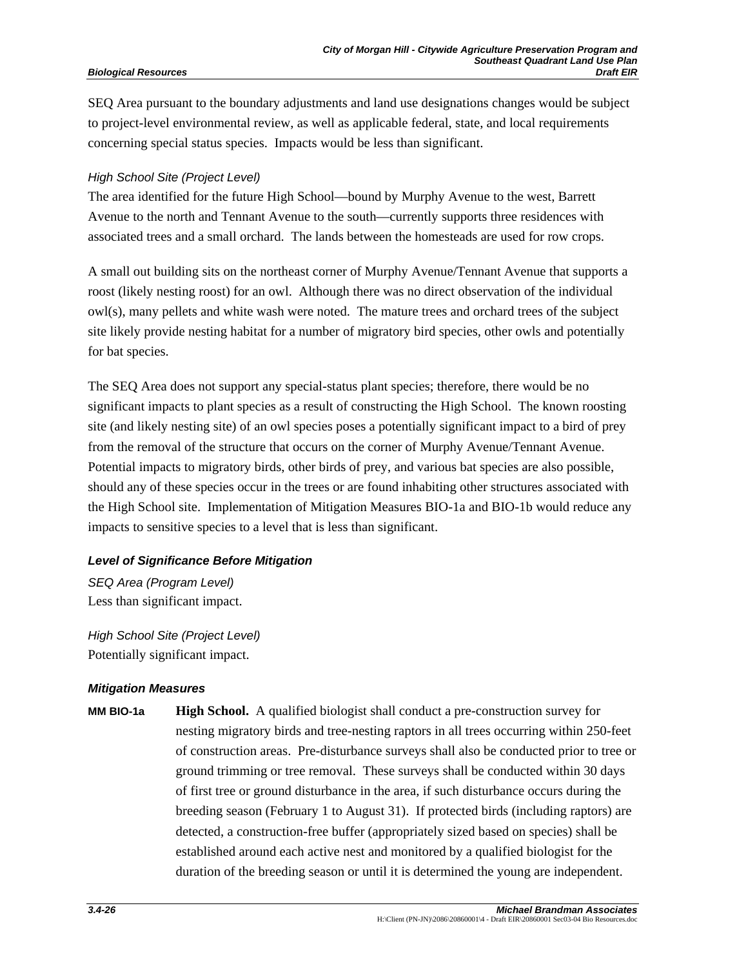SEQ Area pursuant to the boundary adjustments and land use designations changes would be subject to project-level environmental review, as well as applicable federal, state, and local requirements concerning special status species. Impacts would be less than significant.

#### *High School Site (Project Level)*

The area identified for the future High School—bound by Murphy Avenue to the west, Barrett Avenue to the north and Tennant Avenue to the south—currently supports three residences with associated trees and a small orchard. The lands between the homesteads are used for row crops.

A small out building sits on the northeast corner of Murphy Avenue/Tennant Avenue that supports a roost (likely nesting roost) for an owl. Although there was no direct observation of the individual owl(s), many pellets and white wash were noted. The mature trees and orchard trees of the subject site likely provide nesting habitat for a number of migratory bird species, other owls and potentially for bat species.

The SEQ Area does not support any special-status plant species; therefore, there would be no significant impacts to plant species as a result of constructing the High School. The known roosting site (and likely nesting site) of an owl species poses a potentially significant impact to a bird of prey from the removal of the structure that occurs on the corner of Murphy Avenue/Tennant Avenue. Potential impacts to migratory birds, other birds of prey, and various bat species are also possible, should any of these species occur in the trees or are found inhabiting other structures associated with the High School site. Implementation of Mitigation Measures BIO-1a and BIO-1b would reduce any impacts to sensitive species to a level that is less than significant.

#### *Level of Significance Before Mitigation*

*SEQ Area (Program Level)*  Less than significant impact.

*High School Site (Project Level)*  Potentially significant impact.

#### *Mitigation Measures*

**MM BIO-1a High School.** A qualified biologist shall conduct a pre-construction survey for nesting migratory birds and tree-nesting raptors in all trees occurring within 250-feet of construction areas. Pre-disturbance surveys shall also be conducted prior to tree or ground trimming or tree removal. These surveys shall be conducted within 30 days of first tree or ground disturbance in the area, if such disturbance occurs during the breeding season (February 1 to August 31). If protected birds (including raptors) are detected, a construction-free buffer (appropriately sized based on species) shall be established around each active nest and monitored by a qualified biologist for the duration of the breeding season or until it is determined the young are independent.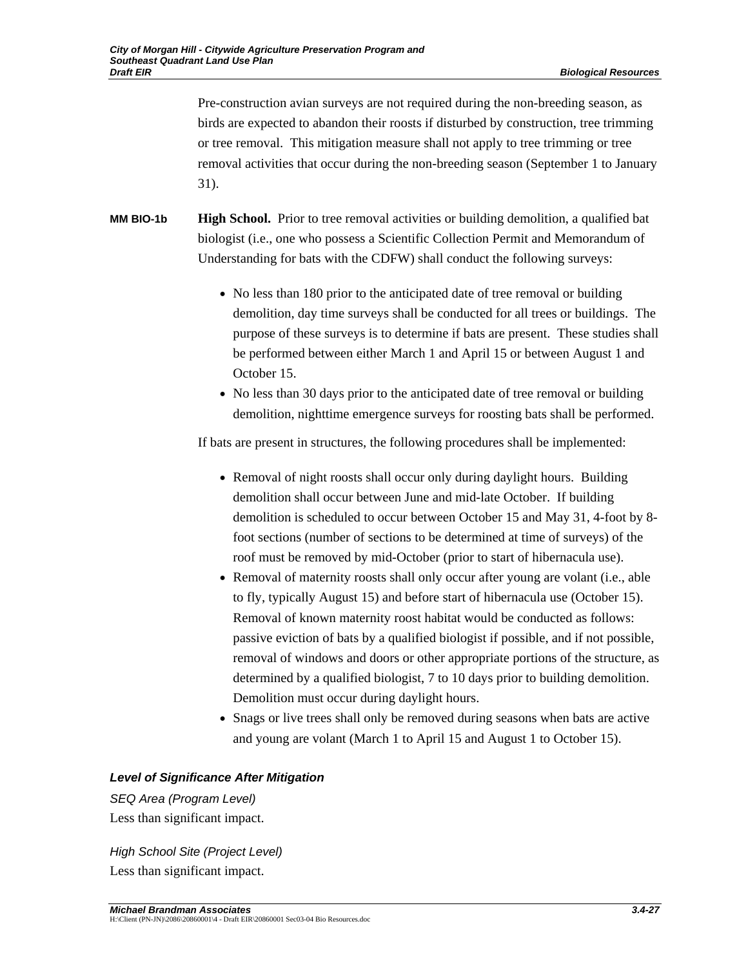Pre-construction avian surveys are not required during the non-breeding season, as birds are expected to abandon their roosts if disturbed by construction, tree trimming or tree removal. This mitigation measure shall not apply to tree trimming or tree removal activities that occur during the non-breeding season (September 1 to January 31).

**MM BIO-1b High School.** Prior to tree removal activities or building demolition, a qualified bat biologist (i.e., one who possess a Scientific Collection Permit and Memorandum of Understanding for bats with the CDFW) shall conduct the following surveys:

- No less than 180 prior to the anticipated date of tree removal or building demolition, day time surveys shall be conducted for all trees or buildings. The purpose of these surveys is to determine if bats are present. These studies shall be performed between either March 1 and April 15 or between August 1 and October 15.
- No less than 30 days prior to the anticipated date of tree removal or building demolition, nighttime emergence surveys for roosting bats shall be performed.

If bats are present in structures, the following procedures shall be implemented:

- Removal of night roosts shall occur only during daylight hours. Building demolition shall occur between June and mid-late October. If building demolition is scheduled to occur between October 15 and May 31, 4-foot by 8 foot sections (number of sections to be determined at time of surveys) of the roof must be removed by mid-October (prior to start of hibernacula use).
- Removal of maternity roosts shall only occur after young are volant (i.e., able to fly, typically August 15) and before start of hibernacula use (October 15). Removal of known maternity roost habitat would be conducted as follows: passive eviction of bats by a qualified biologist if possible, and if not possible, removal of windows and doors or other appropriate portions of the structure, as determined by a qualified biologist, 7 to 10 days prior to building demolition. Demolition must occur during daylight hours.
- Snags or live trees shall only be removed during seasons when bats are active and young are volant (March 1 to April 15 and August 1 to October 15).

#### *Level of Significance After Mitigation*

*SEQ Area (Program Level)*  Less than significant impact.

*High School Site (Project Level)*  Less than significant impact.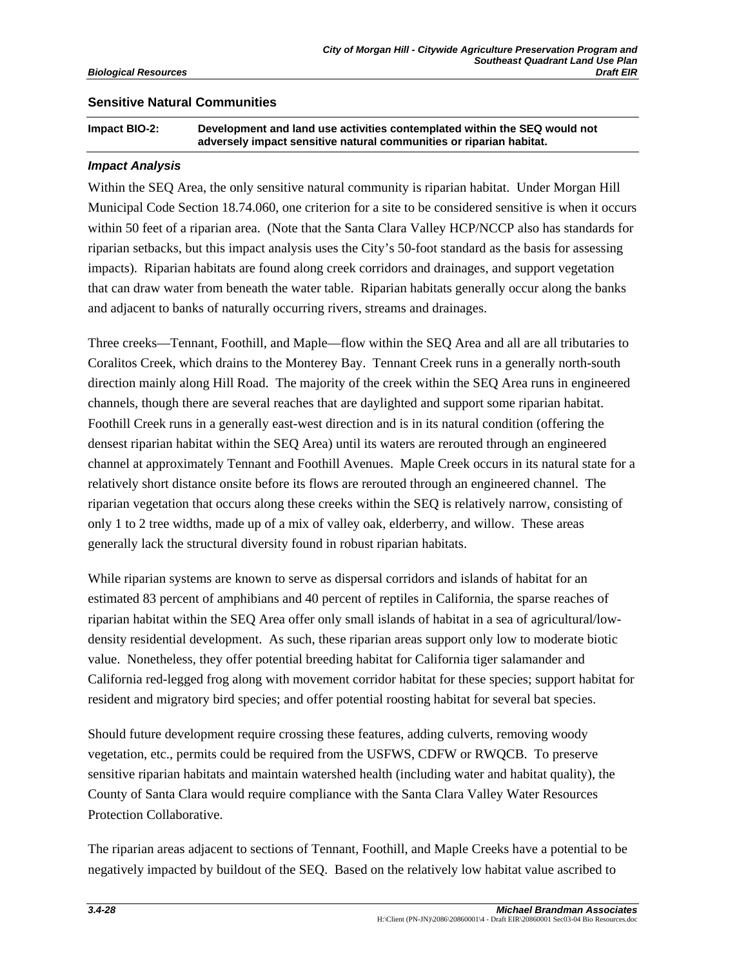### **Sensitive Natural Communities**

**Impact BIO-2: Development and land use activities contemplated within the SEQ would not adversely impact sensitive natural communities or riparian habitat.** 

#### *Impact Analysis*

Within the SEQ Area, the only sensitive natural community is riparian habitat. Under Morgan Hill Municipal Code Section 18.74.060, one criterion for a site to be considered sensitive is when it occurs within 50 feet of a riparian area. (Note that the Santa Clara Valley HCP/NCCP also has standards for riparian setbacks, but this impact analysis uses the City's 50-foot standard as the basis for assessing impacts). Riparian habitats are found along creek corridors and drainages, and support vegetation that can draw water from beneath the water table. Riparian habitats generally occur along the banks and adjacent to banks of naturally occurring rivers, streams and drainages.

Three creeks—Tennant, Foothill, and Maple—flow within the SEQ Area and all are all tributaries to Coralitos Creek, which drains to the Monterey Bay. Tennant Creek runs in a generally north-south direction mainly along Hill Road. The majority of the creek within the SEQ Area runs in engineered channels, though there are several reaches that are daylighted and support some riparian habitat. Foothill Creek runs in a generally east-west direction and is in its natural condition (offering the densest riparian habitat within the SEQ Area) until its waters are rerouted through an engineered channel at approximately Tennant and Foothill Avenues. Maple Creek occurs in its natural state for a relatively short distance onsite before its flows are rerouted through an engineered channel. The riparian vegetation that occurs along these creeks within the SEQ is relatively narrow, consisting of only 1 to 2 tree widths, made up of a mix of valley oak, elderberry, and willow. These areas generally lack the structural diversity found in robust riparian habitats.

While riparian systems are known to serve as dispersal corridors and islands of habitat for an estimated 83 percent of amphibians and 40 percent of reptiles in California, the sparse reaches of riparian habitat within the SEQ Area offer only small islands of habitat in a sea of agricultural/lowdensity residential development. As such, these riparian areas support only low to moderate biotic value. Nonetheless, they offer potential breeding habitat for California tiger salamander and California red-legged frog along with movement corridor habitat for these species; support habitat for resident and migratory bird species; and offer potential roosting habitat for several bat species.

Should future development require crossing these features, adding culverts, removing woody vegetation, etc., permits could be required from the USFWS, CDFW or RWQCB. To preserve sensitive riparian habitats and maintain watershed health (including water and habitat quality), the County of Santa Clara would require compliance with the Santa Clara Valley Water Resources Protection Collaborative.

The riparian areas adjacent to sections of Tennant, Foothill, and Maple Creeks have a potential to be negatively impacted by buildout of the SEQ. Based on the relatively low habitat value ascribed to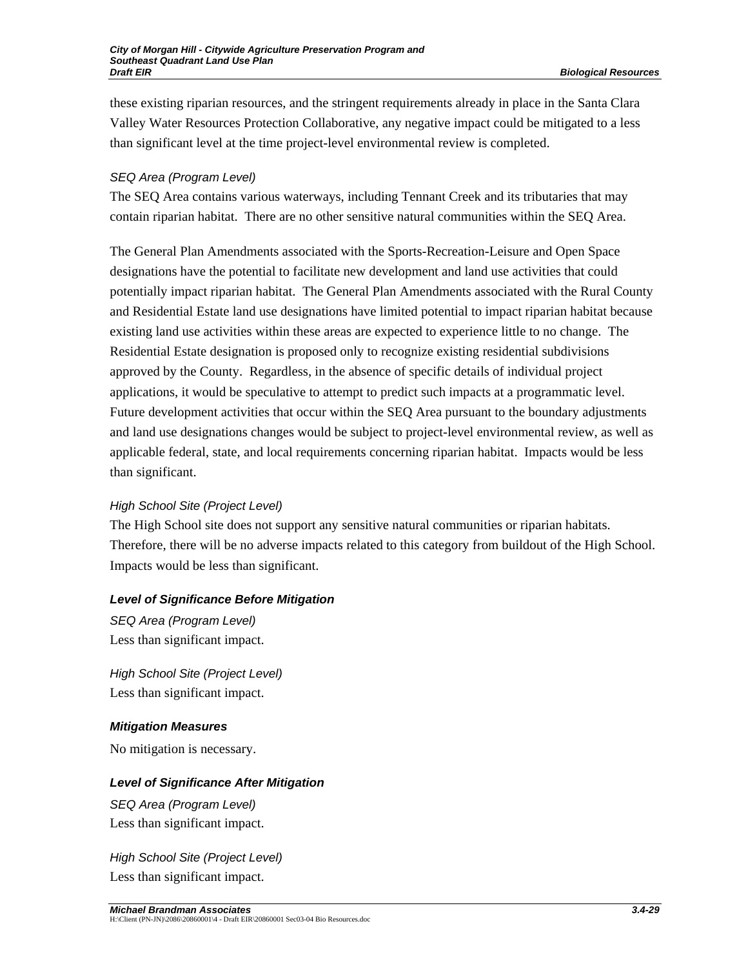these existing riparian resources, and the stringent requirements already in place in the Santa Clara Valley Water Resources Protection Collaborative, any negative impact could be mitigated to a less than significant level at the time project-level environmental review is completed.

## *SEQ Area (Program Level)*

The SEQ Area contains various waterways, including Tennant Creek and its tributaries that may contain riparian habitat. There are no other sensitive natural communities within the SEQ Area.

The General Plan Amendments associated with the Sports-Recreation-Leisure and Open Space designations have the potential to facilitate new development and land use activities that could potentially impact riparian habitat. The General Plan Amendments associated with the Rural County and Residential Estate land use designations have limited potential to impact riparian habitat because existing land use activities within these areas are expected to experience little to no change. The Residential Estate designation is proposed only to recognize existing residential subdivisions approved by the County. Regardless, in the absence of specific details of individual project applications, it would be speculative to attempt to predict such impacts at a programmatic level. Future development activities that occur within the SEQ Area pursuant to the boundary adjustments and land use designations changes would be subject to project-level environmental review, as well as applicable federal, state, and local requirements concerning riparian habitat. Impacts would be less than significant.

#### *High School Site (Project Level)*

The High School site does not support any sensitive natural communities or riparian habitats. Therefore, there will be no adverse impacts related to this category from buildout of the High School. Impacts would be less than significant.

## *Level of Significance Before Mitigation*

*SEQ Area (Program Level)*  Less than significant impact.

*High School Site (Project Level)*  Less than significant impact.

## *Mitigation Measures*

No mitigation is necessary.

## *Level of Significance After Mitigation*

*SEQ Area (Program Level)*  Less than significant impact.

*High School Site (Project Level)*  Less than significant impact.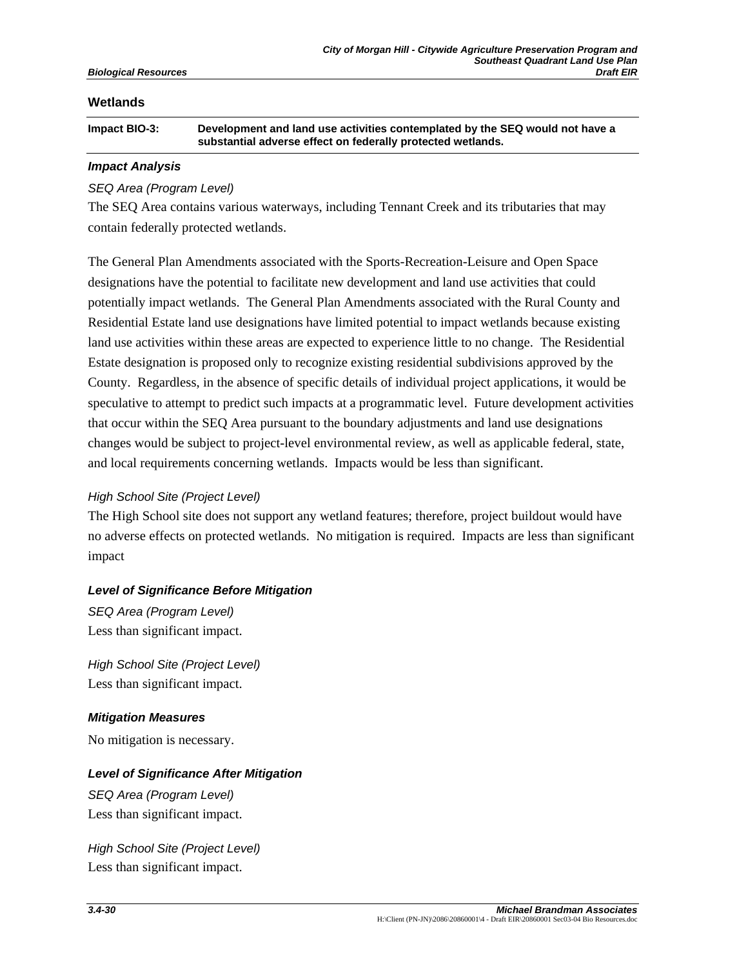### **Wetlands**

**Impact BIO-3: Development and land use activities contemplated by the SEQ would not have a substantial adverse effect on federally protected wetlands.** 

### *Impact Analysis*

## *SEQ Area (Program Level)*

The SEQ Area contains various waterways, including Tennant Creek and its tributaries that may contain federally protected wetlands.

The General Plan Amendments associated with the Sports-Recreation-Leisure and Open Space designations have the potential to facilitate new development and land use activities that could potentially impact wetlands. The General Plan Amendments associated with the Rural County and Residential Estate land use designations have limited potential to impact wetlands because existing land use activities within these areas are expected to experience little to no change. The Residential Estate designation is proposed only to recognize existing residential subdivisions approved by the County. Regardless, in the absence of specific details of individual project applications, it would be speculative to attempt to predict such impacts at a programmatic level. Future development activities that occur within the SEQ Area pursuant to the boundary adjustments and land use designations changes would be subject to project-level environmental review, as well as applicable federal, state, and local requirements concerning wetlands. Impacts would be less than significant.

## *High School Site (Project Level)*

The High School site does not support any wetland features; therefore, project buildout would have no adverse effects on protected wetlands. No mitigation is required. Impacts are less than significant impact

## *Level of Significance Before Mitigation*

*SEQ Area (Program Level)*  Less than significant impact.

*High School Site (Project Level)*  Less than significant impact.

#### *Mitigation Measures*

No mitigation is necessary.

## *Level of Significance After Mitigation*

*SEQ Area (Program Level)*  Less than significant impact.

*High School Site (Project Level)*  Less than significant impact.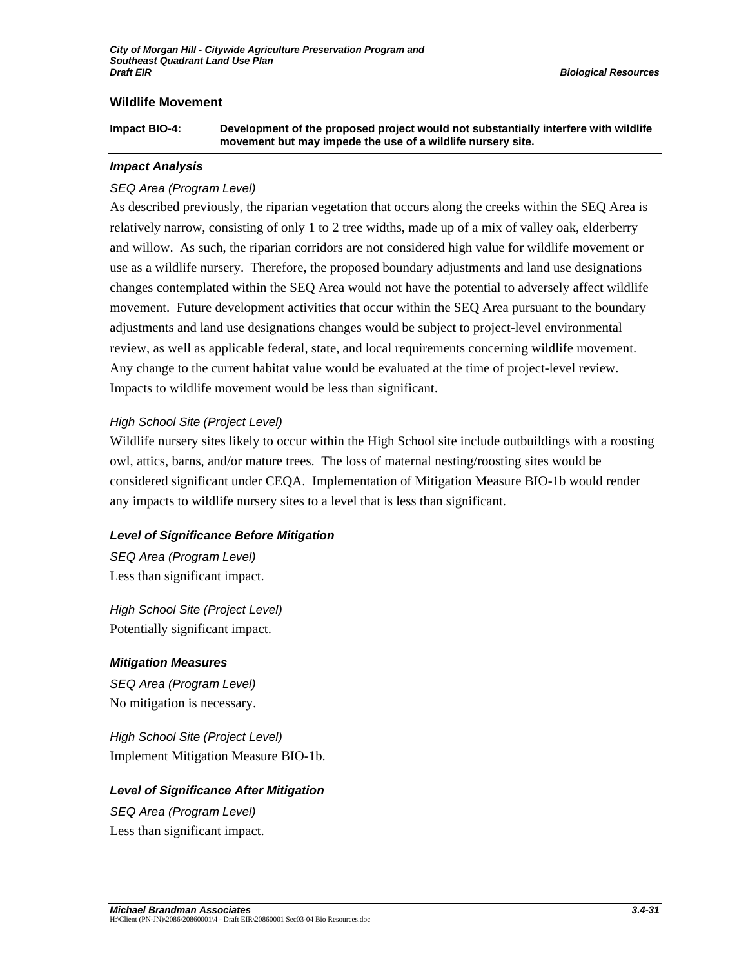### **Wildlife Movement**

| Impact BIO-4: | Development of the proposed project would not substantially interfere with wildlife |
|---------------|-------------------------------------------------------------------------------------|
|               | movement but may impede the use of a wildlife nursery site.                         |

#### *Impact Analysis*

#### *SEQ Area (Program Level)*

As described previously, the riparian vegetation that occurs along the creeks within the SEQ Area is relatively narrow, consisting of only 1 to 2 tree widths, made up of a mix of valley oak, elderberry and willow. As such, the riparian corridors are not considered high value for wildlife movement or use as a wildlife nursery. Therefore, the proposed boundary adjustments and land use designations changes contemplated within the SEQ Area would not have the potential to adversely affect wildlife movement. Future development activities that occur within the SEQ Area pursuant to the boundary adjustments and land use designations changes would be subject to project-level environmental review, as well as applicable federal, state, and local requirements concerning wildlife movement. Any change to the current habitat value would be evaluated at the time of project-level review. Impacts to wildlife movement would be less than significant.

### *High School Site (Project Level)*

Wildlife nursery sites likely to occur within the High School site include outbuildings with a roosting owl, attics, barns, and/or mature trees. The loss of maternal nesting/roosting sites would be considered significant under CEQA. Implementation of Mitigation Measure BIO-1b would render any impacts to wildlife nursery sites to a level that is less than significant.

#### *Level of Significance Before Mitigation*

*SEQ Area (Program Level)*  Less than significant impact.

*High School Site (Project Level)*  Potentially significant impact.

#### *Mitigation Measures*

*SEQ Area (Program Level)*  No mitigation is necessary.

*High School Site (Project Level)*  Implement Mitigation Measure BIO-1b.

#### *Level of Significance After Mitigation*

*SEQ Area (Program Level)*  Less than significant impact.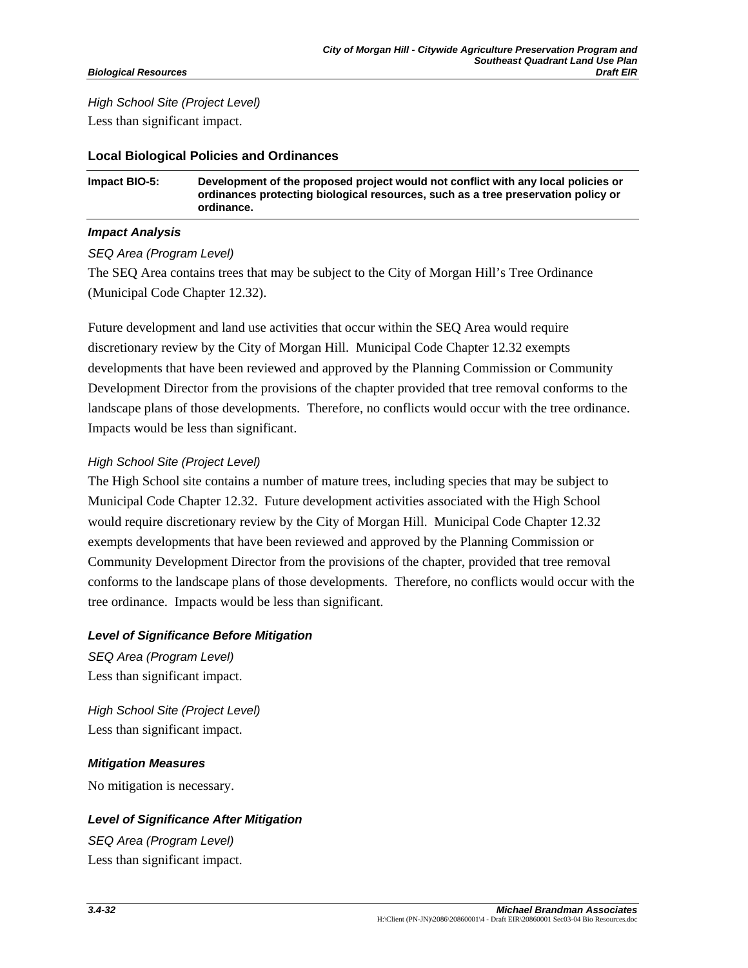## *High School Site (Project Level)*  Less than significant impact.

### **Local Biological Policies and Ordinances**

**Impact BIO-5: Development of the proposed project would not conflict with any local policies or ordinances protecting biological resources, such as a tree preservation policy or ordinance.** 

### *Impact Analysis*

### *SEQ Area (Program Level)*

The SEQ Area contains trees that may be subject to the City of Morgan Hill's Tree Ordinance (Municipal Code Chapter 12.32).

Future development and land use activities that occur within the SEQ Area would require discretionary review by the City of Morgan Hill. Municipal Code Chapter 12.32 exempts developments that have been reviewed and approved by the Planning Commission or Community Development Director from the provisions of the chapter provided that tree removal conforms to the landscape plans of those developments. Therefore, no conflicts would occur with the tree ordinance. Impacts would be less than significant.

### *High School Site (Project Level)*

The High School site contains a number of mature trees, including species that may be subject to Municipal Code Chapter 12.32. Future development activities associated with the High School would require discretionary review by the City of Morgan Hill. Municipal Code Chapter 12.32 exempts developments that have been reviewed and approved by the Planning Commission or Community Development Director from the provisions of the chapter, provided that tree removal conforms to the landscape plans of those developments. Therefore, no conflicts would occur with the tree ordinance. Impacts would be less than significant.

#### *Level of Significance Before Mitigation*

*SEQ Area (Program Level)*  Less than significant impact.

*High School Site (Project Level)*  Less than significant impact.

#### *Mitigation Measures*

No mitigation is necessary.

## *Level of Significance After Mitigation*

*SEQ Area (Program Level)*  Less than significant impact.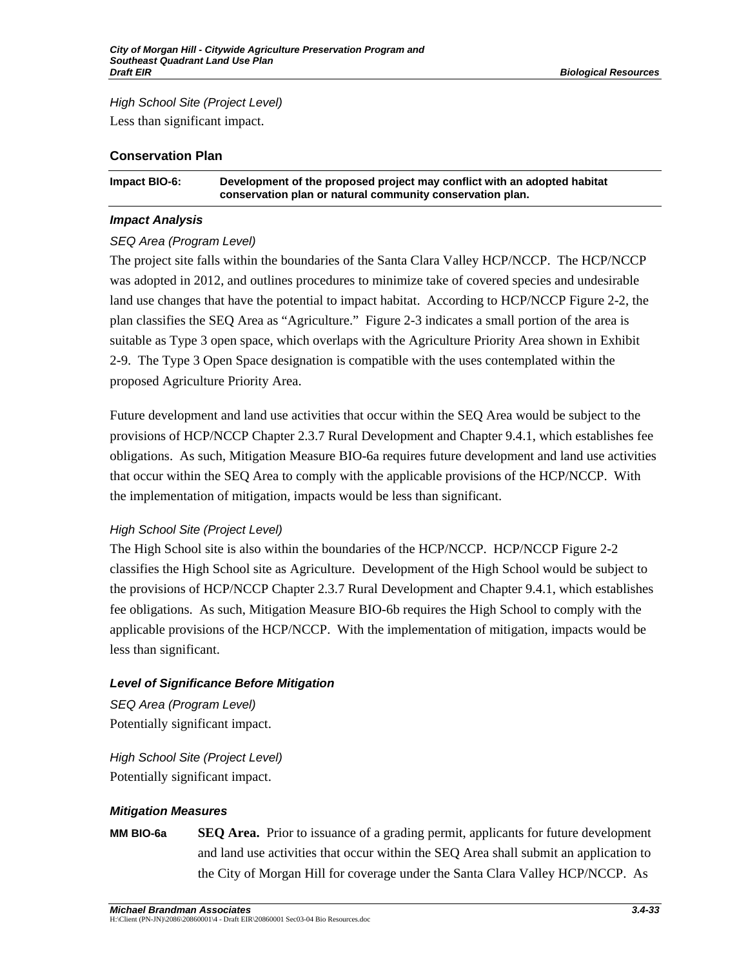*High School Site (Project Level)* 

Less than significant impact.

### **Conservation Plan**

| Impact BIO-6: | Development of the proposed project may conflict with an adopted habitat |
|---------------|--------------------------------------------------------------------------|
|               | conservation plan or natural community conservation plan.                |

### *Impact Analysis*

## *SEQ Area (Program Level)*

The project site falls within the boundaries of the Santa Clara Valley HCP/NCCP. The HCP/NCCP was adopted in 2012, and outlines procedures to minimize take of covered species and undesirable land use changes that have the potential to impact habitat. According to HCP/NCCP Figure 2-2, the plan classifies the SEQ Area as "Agriculture." Figure 2-3 indicates a small portion of the area is suitable as Type 3 open space, which overlaps with the Agriculture Priority Area shown in Exhibit 2-9. The Type 3 Open Space designation is compatible with the uses contemplated within the proposed Agriculture Priority Area.

Future development and land use activities that occur within the SEQ Area would be subject to the provisions of HCP/NCCP Chapter 2.3.7 Rural Development and Chapter 9.4.1, which establishes fee obligations. As such, Mitigation Measure BIO-6a requires future development and land use activities that occur within the SEQ Area to comply with the applicable provisions of the HCP/NCCP. With the implementation of mitigation, impacts would be less than significant.

## *High School Site (Project Level)*

The High School site is also within the boundaries of the HCP/NCCP. HCP/NCCP Figure 2-2 classifies the High School site as Agriculture. Development of the High School would be subject to the provisions of HCP/NCCP Chapter 2.3.7 Rural Development and Chapter 9.4.1, which establishes fee obligations. As such, Mitigation Measure BIO-6b requires the High School to comply with the applicable provisions of the HCP/NCCP. With the implementation of mitigation, impacts would be less than significant.

## *Level of Significance Before Mitigation*

*SEQ Area (Program Level)*  Potentially significant impact.

*High School Site (Project Level)*  Potentially significant impact.

## *Mitigation Measures*

**MM BIO-6a SEQ Area.** Prior to issuance of a grading permit, applicants for future development and land use activities that occur within the SEQ Area shall submit an application to the City of Morgan Hill for coverage under the Santa Clara Valley HCP/NCCP. As